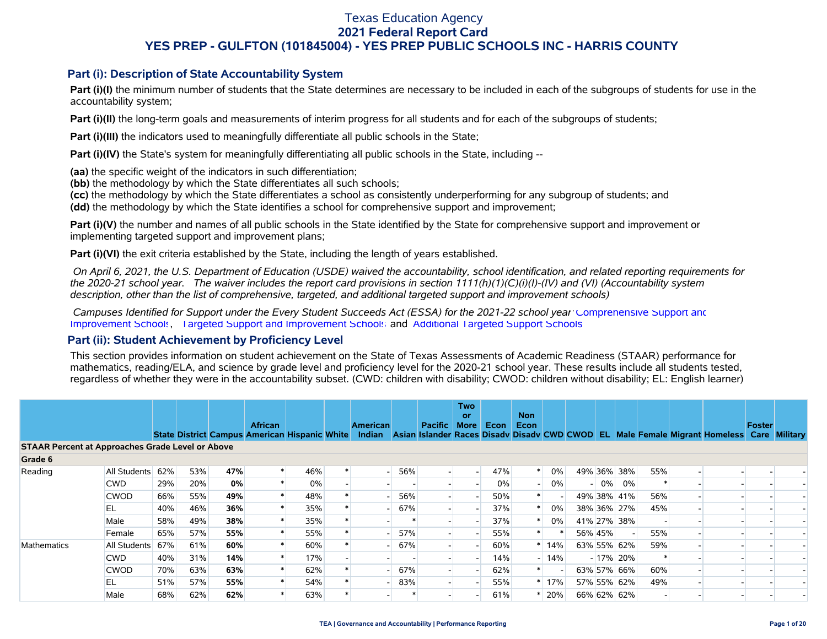#### **Part (i): Description of State Accountability System**

Part (i)(I) the minimum number of students that the State determines are necessary to be included in each of the subgroups of students for use in the accountability system;

**Part (i)(II)** the long-term goals and measurements of interim progress for all students and for each of the subgroups of students;

**Part (i)(III)** the indicators used to meaningfully differentiate all public schools in the State;

**Part (i)(IV)** the State's system for meaningfully differentiating all public schools in the State, including --

**(aa)** the specific weight of the indicators in such differentiation;

**(bb)** the methodology by which the State differentiates all such schools;

**(cc)** the methodology by which the State differentiates a school as consistently underperforming for any subgroup of students; and

**(dd)** the methodology by which the State identifies a school for comprehensive support and improvement;

**Part (i)(V)** the number and names of all public schools in the State identified by the State for comprehensive support and improvement or implementing targeted support and improvement plans;

**Part (i)(VI)** the exit criteria established by the State, including the length of years established.

 *On April 6, 2021, the U.S. Department of Education (USDE) waived the accountability, school identification, and related reporting requirements for the 2020-21 school year. The waiver includes the report card provisions in section 1111(h)(1)(C)(i)(I)-(IV) and (VI) (Accountability system description, other than the list of comprehensive, targeted, and additional targeted support and improvement schools)* 

 *Campuses Identified for Support under the Every Student Succeeds Act (ESSA) for the 2021-22 school year:* [Comprehensive Support and](https://tea.texas.gov/sites/default/files/comprehensive_support_2021.xlsx) [Improvement Schools](https://tea.texas.gov/sites/default/files/comprehensive_support_2021.xlsx), [Targeted Support and Improvement Schools](https://tea.texas.gov/sites/default/files/targeted_support_2021.xlsx) and [Additional Targeted Support Schools.](https://tea.texas.gov/sites/default/files/additional_targeted_support_2021.xlsx)

#### **Part (ii): Student Achievement by Proficiency Level**

This section provides information on student achievement on the State of Texas Assessments of Academic Readiness (STAAR) performance for mathematics, reading/ELA, and science by grade level and proficiency level for the 2020-21 school year. These results include all students tested, regardless of whether they were in the accountability subset. (CWD: children with disability; CWOD: children without disability; EL: English learner)

|                                                         |              |     |     |     |                                                                        |     |                           |             |                                                               | <b>Two</b><br>or         |      | <b>Non</b> |         |         |             |     |                                        |        |                      |
|---------------------------------------------------------|--------------|-----|-----|-----|------------------------------------------------------------------------|-----|---------------------------|-------------|---------------------------------------------------------------|--------------------------|------|------------|---------|---------|-------------|-----|----------------------------------------|--------|----------------------|
|                                                         |              |     |     |     | <b>African</b><br><b>State District Campus American Hispanic White</b> |     | <b>American</b><br>Indian |             | <b>Pacific</b><br>Asian Islander Races Disady Disady CWD CWOD | <b>More</b>              | Econ | Econ       |         |         |             |     | <b>EL Male Female Migrant Homeless</b> | Foster | <b>Care Military</b> |
| <b>STAAR Percent at Approaches Grade Level or Above</b> |              |     |     |     |                                                                        |     |                           |             |                                                               |                          |      |            |         |         |             |     |                                        |        |                      |
| Grade 6                                                 |              |     |     |     |                                                                        |     |                           |             |                                                               |                          |      |            |         |         |             |     |                                        |        |                      |
| Reading                                                 | All Students | 62% | 53% | 47% |                                                                        | 46% |                           | 56%<br>$-1$ |                                                               | $\overline{\phantom{a}}$ | 47%  |            | $0\%$   |         | 49% 36% 38% | 55% |                                        |        |                      |
|                                                         | <b>CWD</b>   | 29% | 20% | 0%  |                                                                        | 0%  |                           |             |                                                               |                          | 0%   |            | $0\%$   |         | $-0\%$ 0%   |     |                                        |        |                      |
|                                                         | <b>CWOD</b>  | 66% | 55% | 49% |                                                                        | 48% |                           | 56%         |                                                               |                          | 50%  |            |         |         | 49% 38% 41% | 56% |                                        |        |                      |
|                                                         | ΕL           | 40% | 46% | 36% |                                                                        | 35% |                           | 67%         |                                                               |                          | 37%  |            | $0\%$   |         | 38% 36% 27% | 45% |                                        |        |                      |
|                                                         | Male         | 58% | 49% | 38% |                                                                        | 35% |                           |             |                                                               |                          | 37%  |            | $0\%$   |         | 41% 27% 38% |     |                                        |        |                      |
|                                                         | Female       | 65% | 57% | 55% |                                                                        | 55% |                           | 57%         |                                                               |                          | 55%  |            |         | 56% 45% |             | 55% |                                        |        |                      |
| <b>Mathematics</b>                                      | All Students | 67% | 61% | 60% |                                                                        | 60% |                           | 67%         |                                                               |                          | 60%  |            | 14%     |         | 63% 55% 62% | 59% |                                        |        |                      |
|                                                         | <b>CWD</b>   | 40% | 31% | 14% |                                                                        | 17% |                           |             |                                                               |                          | 14%  |            | $-14%$  |         | $-17\%$ 20% |     |                                        |        |                      |
|                                                         | <b>CWOD</b>  | 70% | 63% | 63% |                                                                        | 62% |                           | 67%         |                                                               |                          | 62%  |            |         |         | 63% 57% 66% | 60% |                                        |        |                      |
|                                                         | ΕL           | 51% | 57% | 55% |                                                                        | 54% |                           | 83%         |                                                               |                          | 55%  |            | $*$ 17% |         | 57% 55% 62% | 49% |                                        |        |                      |
|                                                         | Male         | 68% | 62% | 62% |                                                                        | 63% |                           |             |                                                               |                          | 61%  |            | 20%     |         | 66% 62% 62% |     |                                        |        |                      |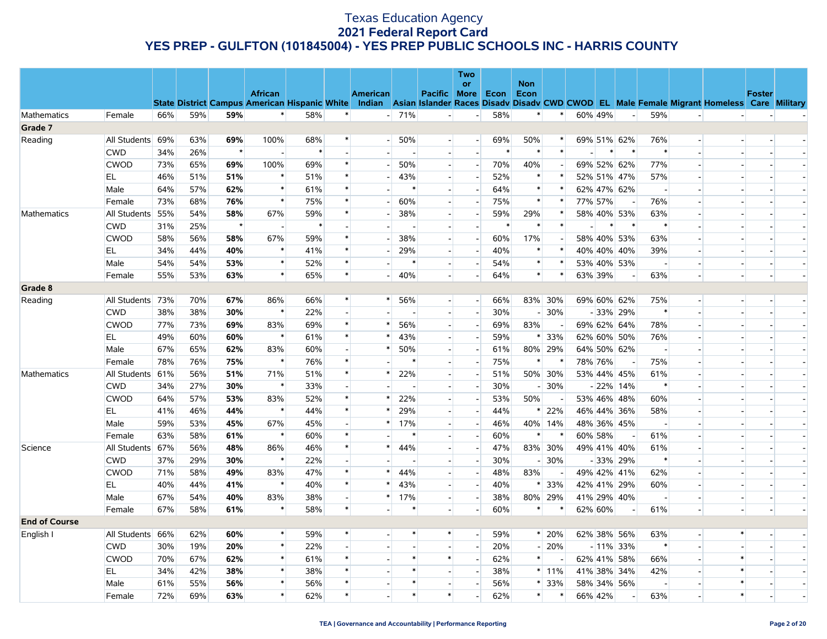|                      |                  |     |     |         |                                                      |        |                |                 |         |                          | Two<br>or                |        | <b>Non</b>               |         |             |   |                          |                |                          |                                                                                                  |                          |                          |
|----------------------|------------------|-----|-----|---------|------------------------------------------------------|--------|----------------|-----------------|---------|--------------------------|--------------------------|--------|--------------------------|---------|-------------|---|--------------------------|----------------|--------------------------|--------------------------------------------------------------------------------------------------|--------------------------|--------------------------|
|                      |                  |     |     |         | <b>African</b>                                       |        |                | <b>American</b> |         | Pacific More             |                          | Econ   | Econ                     |         |             |   |                          |                |                          |                                                                                                  | <b>Foster</b>            |                          |
|                      |                  |     |     |         | <b>State District Campus American Hispanic White</b> |        |                |                 |         |                          |                          |        |                          |         |             |   |                          |                |                          | Indian Asian Islander Races Disady Disady CWD CWOD EL Male Female Migrant Homeless Care Military |                          |                          |
| <b>Mathematics</b>   | Female           | 66% | 59% | 59%     | $\ast$                                               | 58%    | $\ast$         |                 | $- 71%$ | $\overline{\phantom{a}}$ | $\blacksquare$           | 58%    | $\ast$                   | $\ast$  | 60% 49%     |   | $\overline{\phantom{a}}$ | 59%            | $\overline{a}$           |                                                                                                  |                          |                          |
| Grade 7              |                  |     |     |         |                                                      |        |                |                 |         |                          |                          |        |                          |         |             |   |                          |                |                          |                                                                                                  |                          |                          |
| Reading              | All Students 69% |     | 63% | 69%     | 100%                                                 | 68%    | $\ast$         |                 | $-50%$  | $\sim$                   | $\overline{\phantom{a}}$ | 69%    | 50%                      |         |             |   | 69% 51% 62%              | 76%            | $\overline{a}$           |                                                                                                  |                          |                          |
|                      | <b>CWD</b>       | 34% | 26% | $\star$ |                                                      | $\ast$ |                |                 |         | $\sim$                   | $\blacksquare$           | $\ast$ | $\ast$                   | $\ast$  |             |   | $\ast$                   | $\ast$         |                          |                                                                                                  |                          |                          |
|                      | <b>CWOD</b>      | 73% | 65% | 69%     | 100%                                                 | 69%    | $\ast$         |                 | 50%     | $\overline{\phantom{a}}$ | $\sim$                   | 70%    | 40%                      |         | 69% 52% 62% |   |                          | 77%            | $\overline{a}$           |                                                                                                  |                          |                          |
|                      | EL               | 46% | 51% | 51%     | $\ast$                                               | 51%    |                |                 | 43%     | $\overline{a}$           | $\overline{\phantom{a}}$ | 52%    | $\ast$                   |         |             |   | 52% 51% 47%              | 57%            |                          |                                                                                                  |                          |                          |
|                      | Male             | 64% | 57% | 62%     | $\ast$                                               | 61%    | $\ast$         |                 | $\ast$  | $\overline{\phantom{a}}$ | $\sim$                   | 64%    | $\ast$                   | $\ast$  |             |   | 62% 47% 62%              | $\sim$         |                          |                                                                                                  |                          |                          |
|                      | Female           | 73% | 68% | 76%     | $\ast$                                               | 75%    | $\ast$         |                 | 60%     | $\blacksquare$           | $\overline{\phantom{a}}$ | 75%    | $\ast$                   |         | 77% 57%     |   | $\overline{\phantom{a}}$ | 76%            |                          |                                                                                                  |                          |                          |
| Mathematics          | All Students 55% |     | 54% | 58%     | 67%                                                  | 59%    | $\ast$         |                 | 38%     | $\overline{\phantom{a}}$ | $\overline{\phantom{a}}$ | 59%    | 29%                      |         |             |   | 58% 40% 53%              | 63%            |                          |                                                                                                  |                          |                          |
|                      | <b>CWD</b>       | 31% | 25% | $\star$ | $\overline{a}$                                       | $\ast$ |                |                 |         | $\overline{a}$           | $\overline{a}$           | $\ast$ | $\ast$                   |         |             | ∗ | $\ast$                   | $\ast$         |                          |                                                                                                  |                          |                          |
|                      | <b>CWOD</b>      | 58% | 56% | 58%     | 67%                                                  | 59%    | $\ast$         |                 | 38%     | $\overline{a}$           | $\overline{\phantom{0}}$ | 60%    | 17%                      |         |             |   | 58% 40% 53%              | 63%            | $\overline{\phantom{a}}$ |                                                                                                  |                          |                          |
|                      | EL               | 34% | 44% | 40%     | $\ast$                                               | 41%    | $\ast$         |                 | 29%     | $\overline{a}$           | $\overline{a}$           | 40%    | $\ast$                   |         | 40% 40% 40% |   |                          | 39%            |                          |                                                                                                  |                          |                          |
|                      | Male             | 54% | 54% | 53%     | $\ast$                                               | 52%    | $\ast$         |                 |         | $\overline{\phantom{0}}$ | $\overline{\phantom{a}}$ | 54%    | $\ast$                   |         |             |   | 53% 40% 53%              |                |                          |                                                                                                  |                          |                          |
|                      | Female           | 55% | 53% | 63%     | $\ast$                                               | 65%    | $\ast$         |                 | 40%     | $\overline{a}$           | $\overline{a}$           | 64%    | $\ast$                   | $\ast$  | 63% 39%     |   | $\sim$                   | 63%            | $\overline{a}$           |                                                                                                  | $\overline{a}$           |                          |
| Grade 8              |                  |     |     |         |                                                      |        |                |                 |         |                          |                          |        |                          |         |             |   |                          |                |                          |                                                                                                  |                          |                          |
| Reading              | All Students 73% |     | 70% | 67%     | 86%                                                  | 66%    | $\ast$         | $^{\ast}$       | 56%     | $\overline{\phantom{a}}$ | $\overline{\phantom{a}}$ | 66%    |                          | 83% 30% |             |   | 69% 60% 62%              | 75%            | $\overline{\phantom{a}}$ |                                                                                                  | $\overline{a}$           |                          |
|                      | <b>CWD</b>       | 38% | 38% | 30%     | $\ast$                                               | 22%    | $\overline{a}$ |                 |         | $\overline{\phantom{a}}$ | $\overline{\phantom{a}}$ | 30%    |                          | $-130%$ |             |   | - 33% 29%                | $\ast$         |                          |                                                                                                  |                          |                          |
|                      | <b>CWOD</b>      | 77% | 73% | 69%     | 83%                                                  | 69%    | $\ast$         | $\ast$          | 56%     | $\overline{a}$           | $\overline{\phantom{a}}$ | 69%    | 83%                      |         |             |   | 69% 62% 64%              | 78%            |                          |                                                                                                  |                          |                          |
|                      | EL               | 49% | 60% | 60%     | $\ast$                                               | 61%    | $\ast$         | *               | 43%     | $\overline{a}$           | $\blacksquare$           | 59%    | $*$                      | 33%     |             |   | 62% 60% 50%              | 76%            |                          |                                                                                                  |                          |                          |
|                      | Male             | 67% | 65% | 62%     | 83%                                                  | 60%    |                |                 | 50%     | $\overline{a}$           | $\overline{\phantom{a}}$ | 61%    |                          | 80% 29% |             |   | 64% 50% 62%              |                |                          |                                                                                                  |                          |                          |
|                      | Female           | 78% | 76% | 75%     | $\ast$                                               | 76%    | $\ast$         |                 |         | $\overline{a}$           | $\sim$                   | 75%    | $\ast$                   |         | 78% 76%     |   | $\sim$                   | 75%            |                          |                                                                                                  |                          |                          |
| Mathematics          | All Students 61% |     | 56% | 51%     | 71%                                                  | 51%    | $\ast$         |                 | 22%     | $\overline{\phantom{a}}$ | $\overline{\phantom{a}}$ | 51%    |                          | 50% 30% |             |   | 53% 44% 45%              | 61%            |                          |                                                                                                  |                          |                          |
|                      | <b>CWD</b>       | 34% | 27% | 30%     | $\ast$                                               | 33%    | $\overline{a}$ |                 |         | $\overline{a}$           | $\overline{a}$           | 30%    |                          | 30%     |             |   | $-22\%$ 14%              | $\ast$         | $\overline{a}$           |                                                                                                  |                          |                          |
|                      | <b>CWOD</b>      | 64% | 57% | 53%     | 83%                                                  | 52%    | $\ast$         |                 | 22%     | $\overline{a}$           | $\overline{\phantom{a}}$ | 53%    | 50%                      |         |             |   | 53% 46% 48%              | 60%            |                          |                                                                                                  |                          |                          |
|                      | EL.              | 41% | 46% | 44%     | $\ast$                                               | 44%    | $\ast$         | *               | 29%     | $\overline{a}$           | $\overline{a}$           | 44%    | $\ast$                   | 22%     |             |   | 46% 44% 36%              | 58%            |                          |                                                                                                  |                          | $\overline{\phantom{a}}$ |
|                      | Male             | 59% | 53% | 45%     | 67%                                                  | 45%    |                | *               | 17%     | $\blacksquare$           | $\sim$                   | 46%    |                          | 40% 14% |             |   | 48% 36% 45%              |                |                          |                                                                                                  |                          |                          |
|                      | Female           | 63% | 58% | 61%     | $\ast$                                               | 60%    | $\ast$         |                 |         | $\overline{\phantom{0}}$ | $\overline{\phantom{a}}$ | 60%    | $\ast$                   |         | 60% 58%     |   |                          | 61%            |                          |                                                                                                  |                          |                          |
| Science              | All Students 67% |     | 56% | 48%     | 86%                                                  | 46%    | $\ast$         | $\ast$          | 44%     | $\sim$                   | $\overline{a}$           | 47%    |                          | 83% 30% |             |   | 49% 41% 40%              | 61%            |                          |                                                                                                  |                          |                          |
|                      | <b>CWD</b>       | 37% | 29% | 30%     | $\ast$                                               | 22%    |                |                 |         | $\overline{\phantom{0}}$ | $\overline{\phantom{a}}$ | 30%    | $\overline{\phantom{a}}$ | 30%     |             |   | - 33% 29%                | $\ast$         |                          |                                                                                                  |                          |                          |
|                      | <b>CWOD</b>      | 71% | 58% | 49%     | 83%                                                  | 47%    | $\ast$         |                 | 44%     | $\overline{\phantom{a}}$ | $\overline{\phantom{a}}$ | 48%    | 83%                      |         |             |   | 49% 42% 41%              | 62%            |                          |                                                                                                  |                          |                          |
|                      | EL               | 40% | 44% | 41%     | $\ast$                                               | 40%    | $\ast$         |                 | 43%     | $\overline{\phantom{0}}$ | $\overline{\phantom{a}}$ | 40%    | ∗                        | 33%     |             |   | 42% 41% 29%              | 60%            |                          |                                                                                                  |                          |                          |
|                      | Male             | 67% | 54% | 40%     | 83%                                                  | 38%    |                | $\ast$          | 17%     | $\overline{a}$           | $\overline{a}$           | 38%    |                          | 80% 29% |             |   | 41% 29% 40%              | $\overline{a}$ | $\overline{a}$           |                                                                                                  |                          |                          |
|                      | Female           | 67% | 58% | 61%     | $\ast$                                               | 58%    | $\ast$         |                 | $\ast$  | $\overline{\phantom{0}}$ | $\overline{\phantom{a}}$ | 60%    | $*$                      |         | 62% 60%     |   |                          | 61%            | $\overline{\phantom{a}}$ |                                                                                                  | $\overline{\phantom{a}}$ |                          |
| <b>End of Course</b> |                  |     |     |         |                                                      |        |                |                 |         |                          |                          |        |                          |         |             |   |                          |                |                          |                                                                                                  |                          |                          |
| English I            | All Students 66% |     | 62% | 60%     | $\ast$                                               | 59%    | $\ast$         |                 |         | $\ast$                   | $\overline{a}$           | 59%    |                          | $* 20%$ |             |   | 62% 38% 56%              | 63%            | $\overline{\phantom{a}}$ | $\ast$                                                                                           |                          |                          |
|                      | <b>CWD</b>       | 30% | 19% | 20%     | $\ast$                                               | 22%    |                |                 |         | $\overline{\phantom{a}}$ | $\overline{a}$           | 20%    | $\overline{\phantom{0}}$ | 20%     |             |   | $-11\%$ 33%              | $\ast$         | $\overline{a}$           |                                                                                                  |                          |                          |
|                      | <b>CWOD</b>      | 70% | 67% | 62%     | $\ast$                                               | 61%    | $\ast$         |                 | $\ast$  | $\ast$                   |                          | 62%    | $\ast$                   |         |             |   | 62% 41% 58%              | 66%            |                          | $\ast$                                                                                           |                          |                          |
|                      | EL               | 34% | 42% | 38%     | $\ast$                                               | 38%    | $\ast$         |                 | $\ast$  | $\overline{a}$           | $\overline{\phantom{a}}$ | 38%    |                          | $*11\%$ |             |   | 41% 38% 34%              | 42%            | $\overline{\phantom{a}}$ | $\ast$                                                                                           |                          |                          |
|                      | Male             | 61% | 55% | 56%     | $\ast$                                               | 56%    | $\ast$         |                 |         | $\sim$                   | $\overline{\phantom{a}}$ | 56%    | $\ast$                   | 33%     | 58% 34% 56% |   |                          |                |                          | $\ast$                                                                                           |                          |                          |
|                      | Female           | 72% | 69% | 63%     | $\ast$                                               | 62%    |                |                 | $\ast$  | $\ast$                   | $\frac{1}{2}$            | 62%    | $\ast$                   |         | 66% 42%     |   | $\overline{a}$           | 63%            |                          | $\ast$                                                                                           |                          |                          |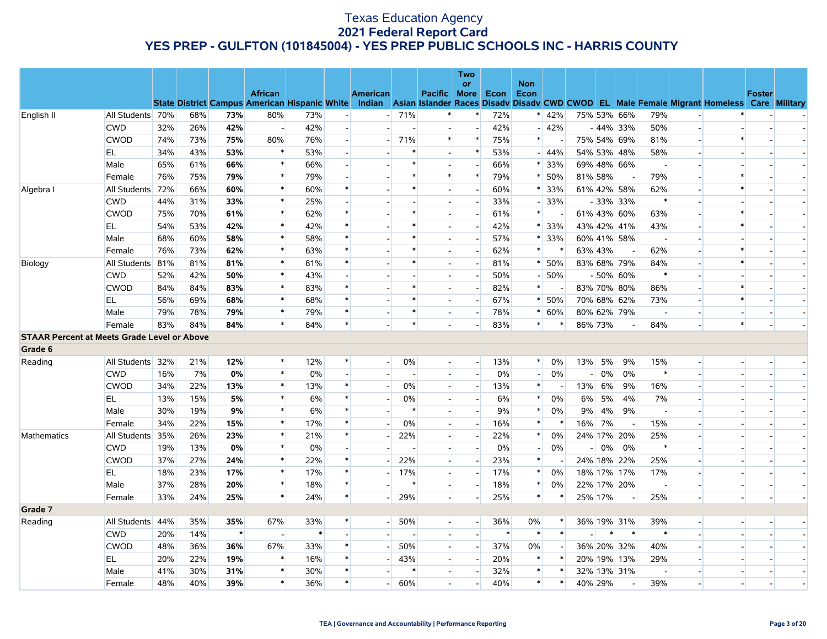|                                                    |                  |     |     |         |                                                                                                                                                |        |        |                |                       |                          | <b>Two</b>               |      | <b>Non</b>               |                               |                |        |                          |                |                          |                          |               |        |
|----------------------------------------------------|------------------|-----|-----|---------|------------------------------------------------------------------------------------------------------------------------------------------------|--------|--------|----------------|-----------------------|--------------------------|--------------------------|------|--------------------------|-------------------------------|----------------|--------|--------------------------|----------------|--------------------------|--------------------------|---------------|--------|
|                                                    |                  |     |     |         | <b>African</b>                                                                                                                                 |        |        | American       |                       | Pacific More             | or                       | Econ | Econ                     |                               |                |        |                          |                |                          |                          | <b>Foster</b> |        |
|                                                    |                  |     |     |         | State District Campus American Hispanic White Indian Asian Islander Races Disady Disady CWD CWOD EL Male Female Migrant Homeless Care Military |        |        |                |                       |                          |                          |      |                          |                               |                |        |                          |                |                          |                          |               |        |
| English II                                         | All Students 70% |     | 68% | 73%     | 80%                                                                                                                                            | 73%    |        |                | $-71%$                |                          | $\ast$                   | 72%  |                          | $*$ 42%                       | 75% 53% 66%    |        |                          | 79%            | $\overline{\phantom{a}}$ |                          |               |        |
|                                                    | <b>CWD</b>       | 32% | 26% | 42%     | $\overline{a}$                                                                                                                                 | 42%    |        | ш.             |                       |                          | $\overline{a}$           | 42%  |                          | $-42%$                        |                |        | $-44\%$ 33%              | 50%            | $\overline{a}$           |                          |               |        |
|                                                    | <b>CWOD</b>      | 74% | 73% | 75%     | 80%                                                                                                                                            | 76%    |        |                | 71%<br>$\blacksquare$ | $\ast$                   | $\ast$                   | 75%  | $\ast$                   |                               | 75% 54% 69%    |        |                          | 81%            | $\overline{\phantom{a}}$ | $\ast$                   |               |        |
|                                                    | EL               | 34% | 43% | 53%     | $\ast$                                                                                                                                         | 53%    |        |                | $\ast$                | $\sim$                   | $\ast$                   | 53%  |                          | $-44%$                        |                |        | 54% 53% 48%              | 58%            | $\overline{a}$           |                          |               |        |
|                                                    | Male             | 65% | 61% | 66%     | $\ast$                                                                                                                                         | 66%    |        |                | $\ast$                |                          |                          | 66%  |                          | $* 33%$                       | 69% 48% 66%    |        |                          |                |                          |                          |               |        |
|                                                    | Female           | 76% | 75% | 79%     | $\ast$                                                                                                                                         | 79%    |        |                | $\ast$                | $\ast$                   | $\ast$                   | 79%  |                          | $* 50%$                       | 81% 58%        |        |                          | 79%            | $\overline{a}$           | $\ast$                   |               |        |
| Algebra I                                          | All Students 72% |     | 66% | 60%     | $\ast$                                                                                                                                         | 60%    |        |                | *                     |                          | $\overline{\phantom{a}}$ | 60%  |                          | $* 33%$                       | 61% 42% 58%    |        |                          | 62%            | $\overline{\phantom{a}}$ | $\ast$                   |               |        |
|                                                    | <b>CWD</b>       | 44% | 31% | 33%     | $\ast$                                                                                                                                         | 25%    |        |                |                       | $\overline{a}$           | $\overline{a}$           | 33%  |                          | $-133%$                       |                |        | $-33\%$ 33%              | $\ast$         | $\overline{a}$           |                          |               |        |
|                                                    | <b>CWOD</b>      | 75% | 70% | 61%     | $\ast$                                                                                                                                         | 62%    |        |                |                       | $\sim$                   |                          | 61%  | $\ast$                   |                               | 61% 43% 60%    |        |                          | 63%            | $\overline{\phantom{a}}$ | $\ast$                   |               |        |
|                                                    | EL.              | 54% | 53% | 42%     | $\ast$                                                                                                                                         | 42%    |        |                |                       |                          |                          | 42%  |                          | $*133%$                       |                |        | 43% 42% 41%              | 43%            |                          | $\ast$                   |               |        |
|                                                    | Male             | 68% | 60% | 58%     | $\ast$                                                                                                                                         | 58%    |        |                |                       | $\sim$                   | $\overline{\phantom{a}}$ | 57%  | $\ast$                   | 33%                           |                |        | 60% 41% 58%              |                | $\overline{\phantom{a}}$ |                          |               |        |
|                                                    | Female           | 76% | 73% | 62%     | $\ast$                                                                                                                                         | 63%    |        |                |                       | $\overline{a}$           |                          | 62%  | $\ast$                   | $\left\vert \star\right\vert$ | 63% 43%        |        | $\overline{\phantom{a}}$ | 62%            |                          | $\ast$                   |               |        |
| Biology                                            | All Students 81% |     | 81% | 81%     | $\ast$                                                                                                                                         | 81%    |        |                |                       | $\overline{a}$           | $\blacksquare$           | 81%  |                          | $* 50%$                       |                |        | 83% 68% 79%              | 84%            | $\overline{\phantom{a}}$ | $\ast$                   |               |        |
|                                                    | <b>CWD</b>       | 52% | 42% | 50%     | $\ast$                                                                                                                                         | 43%    |        |                |                       |                          |                          | 50%  |                          | $-150%$                       |                |        | $-50\%$ 60%              | $\ast$         |                          |                          |               |        |
|                                                    | <b>CWOD</b>      | 84% | 84% | 83%     | $\ast$                                                                                                                                         | 83%    |        |                |                       | $\overline{\phantom{a}}$ |                          | 82%  | $\ast$                   |                               | 83% 70% 80%    |        |                          | 86%            | $\overline{\phantom{a}}$ | $\ast$                   |               |        |
|                                                    | EL               | 56% | 69% | 68%     | $\ast$                                                                                                                                         | 68%    |        |                |                       |                          |                          | 67%  |                          | $* 50%$                       | 70% 68% 62%    |        |                          | 73%            |                          | $\ast$                   |               |        |
|                                                    | Male             | 79% | 78% | 79%     | $\ast$                                                                                                                                         | 79%    |        |                |                       | $\overline{a}$           |                          | 78%  |                          | $* 60%$                       | 80% 62% 79%    |        |                          |                | $\overline{\phantom{a}}$ |                          |               |        |
|                                                    | Female           | 83% | 84% | 84%     | $\ast$                                                                                                                                         | 84%    |        |                | $\ast$                |                          |                          | 83%  | $\ast$                   |                               | 86% 73%        |        |                          | 84%            |                          | $\ast$                   |               |        |
| <b>STAAR Percent at Meets Grade Level or Above</b> |                  |     |     |         |                                                                                                                                                |        |        |                |                       |                          |                          |      |                          |                               |                |        |                          |                |                          |                          |               |        |
| Grade 6                                            |                  |     |     |         |                                                                                                                                                |        |        |                |                       |                          |                          |      |                          |                               |                |        |                          |                |                          |                          |               |        |
| Reading                                            | All Students 32% |     | 21% | 12%     | $\ast$                                                                                                                                         | 12%    |        | $\blacksquare$ | 0%                    |                          | $\blacksquare$           | 13%  | $\ast$                   | 0%                            | 13%            | 5%     | 9%                       | 15%            | $\overline{\phantom{a}}$ |                          |               |        |
|                                                    | <b>CWD</b>       | 16% | 7%  | 0%      | $\ast$                                                                                                                                         | 0%     |        |                |                       |                          |                          | 0%   |                          | 0%                            | $\overline{a}$ | 0%     | 0%                       | $\ast$         |                          |                          |               |        |
|                                                    | <b>CWOD</b>      | 34% | 22% | 13%     | $\ast$                                                                                                                                         | 13%    |        |                | 0%                    | $\sim$                   | $\sim$                   | 13%  | $\ast$                   |                               | 13%            | 6%     | 9%                       | 16%            | $\overline{\phantom{a}}$ |                          |               |        |
|                                                    | EL.              | 13% | 15% | 5%      | $\ast$                                                                                                                                         | 6%     |        | $\sim$         | 0%                    | $\overline{\phantom{a}}$ |                          | 6%   | $\ast$                   | 0%                            | 6%             | 5%     | 4%                       | 7%             | $\overline{\phantom{a}}$ |                          |               |        |
|                                                    | Male             | 30% | 19% | 9%      | $\ast$                                                                                                                                         | 6%     |        |                | $\ast$                | $\overline{a}$           |                          | 9%   | $\ast$                   | 0%                            | 9%             | 4%     | 9%                       | $\overline{a}$ | $\overline{\phantom{a}}$ |                          |               |        |
|                                                    | Female           | 34% | 22% | 15%     | $\ast$                                                                                                                                         | 17%    |        |                | 0%                    |                          |                          | 16%  | $\ast$                   | $\ast$                        | 16%            | 7%     |                          | 15%            |                          |                          |               |        |
| <b>Mathematics</b>                                 | All Students 35% |     | 26% | 23%     | $\ast$                                                                                                                                         | 21%    |        |                | 22%                   | $\overline{\phantom{a}}$ | $\overline{a}$           | 22%  | $\ast$                   | 0%                            |                |        | 24% 17% 20%              | 25%            | $\overline{a}$           |                          |               |        |
|                                                    | <b>CWD</b>       | 19% | 13% | 0%      | $\ast$                                                                                                                                         | 0%     |        |                |                       |                          |                          | 0%   | $\overline{\phantom{0}}$ | 0%                            |                | 0%     | 0%                       | $\ast$         | $\overline{\phantom{a}}$ |                          |               |        |
|                                                    | CWOD             | 37% | 27% | 24%     | $\ast$                                                                                                                                         | 22%    | $\ast$ |                | 22%                   | $\overline{a}$           | $\overline{a}$           | 23%  | $\ast$                   |                               |                |        | 24% 18% 22%              | 25%            | $\overline{a}$           |                          |               |        |
|                                                    | EL               | 18% | 23% | 17%     | $\ast$                                                                                                                                         | 17%    |        |                | $-17%$                | $\overline{\phantom{a}}$ | $\overline{\phantom{a}}$ | 17%  | $\ast$                   | 0%                            | 18% 17% 17%    |        |                          | 17%            | $\overline{\phantom{a}}$ |                          |               |        |
|                                                    | Male             | 37% | 28% | 20%     | $\ast$                                                                                                                                         | 18%    | $\ast$ |                | $\ast$                | $\sim$                   |                          | 18%  | $\ast$                   | 0%                            | 22% 17% 20%    |        |                          |                | $\overline{a}$           | $\overline{\phantom{a}}$ |               | $\sim$ |
|                                                    | Female           | 33% | 24% | 25%     | $\ast$                                                                                                                                         | 24%    | $\ast$ |                | 29%<br>$\overline{a}$ | $\overline{a}$           | $\overline{\phantom{a}}$ | 25%  | $\ast$                   |                               | 25% 17%        |        | $\sim$                   | 25%            | $\overline{\phantom{a}}$ |                          |               |        |
| Grade 7                                            |                  |     |     |         |                                                                                                                                                |        |        |                |                       |                          |                          |      |                          |                               |                |        |                          |                |                          |                          |               |        |
| Reading                                            | All Students 44% |     | 35% | 35%     | 67%                                                                                                                                            | 33%    |        |                | 50%<br>$-1$           |                          | $\blacksquare$           | 36%  | 0%                       | $\ast$                        |                |        | 36% 19% 31%              | 39%            | $\overline{\phantom{a}}$ |                          |               |        |
|                                                    | <b>CWD</b>       | 20% | 14% | $\star$ | $\overline{a}$                                                                                                                                 | $\ast$ |        |                |                       |                          | $\overline{a}$           |      | $\ast$                   | $\ast$                        |                | $\ast$ | $\ast$                   | $\ast$         | $\overline{a}$           |                          |               |        |
|                                                    | <b>CWOD</b>      | 48% | 36% | 36%     | 67%                                                                                                                                            | 33%    |        |                | 50%                   | $\overline{a}$           | $\overline{\phantom{a}}$ | 37%  | $0\%$                    |                               |                |        | 36% 20% 32%              | 40%            | $\overline{\phantom{a}}$ |                          |               |        |
|                                                    | EL.              | 20% | 22% | 19%     | $\ast$                                                                                                                                         | 16%    |        |                | 43%                   |                          | $\mathcal{L}^{\pm}$      | 20%  | $\ast$                   | $\ast$                        | 20% 19% 13%    |        |                          | 29%            | $\overline{\phantom{a}}$ |                          |               |        |
|                                                    | Male             | 41% | 30% | 31%     | $\ast$                                                                                                                                         | 30%    |        |                |                       |                          |                          | 32%  | $\ast$                   |                               |                |        | 32% 13% 31%              |                |                          |                          |               |        |
|                                                    | Female           | 48% | 40% | 39%     | $\ast$                                                                                                                                         | 36%    |        |                | 60%                   |                          |                          | 40%  | $\ast$                   | $\ast$                        | 40% 29%        |        |                          | 39%            |                          |                          |               |        |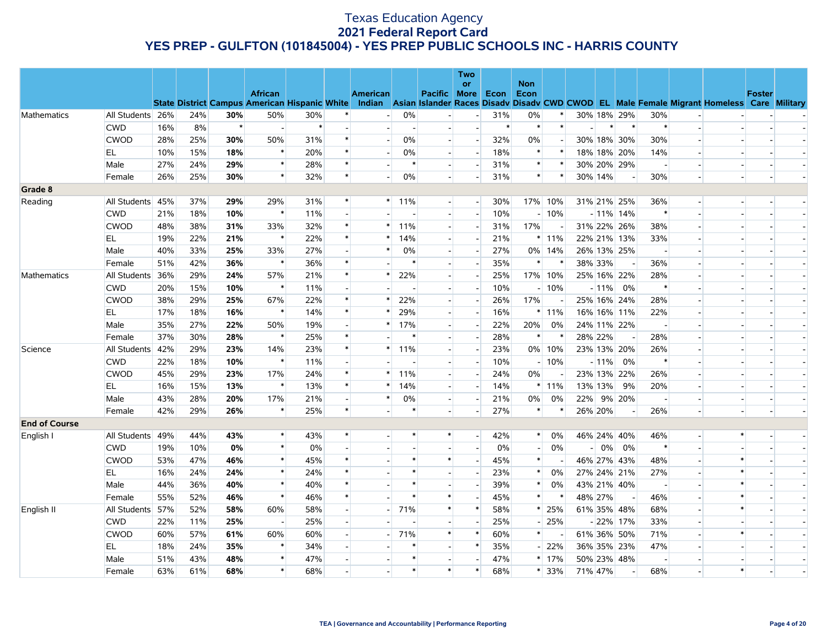|                      |                  |     |     |         |                                                      |        |                |                 |         |                          | <b>Two</b>               |        |                    |         |             |         |                          |                          |                |                                                                                                  |                |  |
|----------------------|------------------|-----|-----|---------|------------------------------------------------------|--------|----------------|-----------------|---------|--------------------------|--------------------------|--------|--------------------|---------|-------------|---------|--------------------------|--------------------------|----------------|--------------------------------------------------------------------------------------------------|----------------|--|
|                      |                  |     |     |         | <b>African</b>                                       |        |                | <b>American</b> |         | <b>Pacific More</b>      | or                       | Econ   | <b>Non</b><br>Econ |         |             |         |                          |                          |                |                                                                                                  | <b>Foster</b>  |  |
|                      |                  |     |     |         | <b>State District Campus American Hispanic White</b> |        |                |                 |         |                          |                          |        |                    |         |             |         |                          |                          |                | Indian Asian Islander Races Disady Disady CWD CWOD EL Male Female Migrant Homeless Care Military |                |  |
| Mathematics          | All Students 26% |     | 24% | 30%     | 50%                                                  | 30%    |                |                 | 0%      |                          | $\overline{a}$           | 31%    | 0%                 |         | 30% 18% 29% |         |                          | 30%                      |                |                                                                                                  |                |  |
|                      | <b>CWD</b>       | 16% | 8%  | $\star$ | $\overline{\phantom{a}}$                             | $\ast$ |                |                 |         |                          | $\blacksquare$           | $\ast$ | $\ast$             | $\ast$  |             | $\ast$  | $\ast$                   | $\ast$                   |                |                                                                                                  |                |  |
|                      | <b>CWOD</b>      | 28% | 25% | 30%     | 50%                                                  | 31%    | $\ast$         |                 | 0%      | $\overline{a}$           | $\overline{\phantom{a}}$ | 32%    | 0%                 |         | 30% 18% 30% |         |                          | 30%                      |                |                                                                                                  |                |  |
|                      | EL               | 10% | 15% | 18%     | $\ast$                                               | 20%    | $\ast$         |                 | 0%      | $\overline{a}$           | $\overline{\phantom{a}}$ | 18%    | $\ast$             | $\ast$  | 18% 18% 20% |         |                          | 14%                      | $\overline{a}$ |                                                                                                  |                |  |
|                      | Male             | 27% | 24% | 29%     | $\ast$                                               | 28%    | $\ast$         |                 | $\ast$  | $\overline{\phantom{a}}$ | $\overline{\phantom{a}}$ | 31%    | $\ast$             |         | 30% 20% 29% |         |                          |                          |                |                                                                                                  |                |  |
|                      | Female           | 26% | 25% | 30%     | $\ast$                                               | 32%    | $\ast$         |                 | 0%      | $\overline{a}$           | $\overline{a}$           | 31%    | $\ast$             | $\ast$  | 30% 14%     |         | $\sim$                   | 30%                      | $\overline{a}$ |                                                                                                  | $\overline{a}$ |  |
| Grade 8              |                  |     |     |         |                                                      |        |                |                 |         |                          |                          |        |                    |         |             |         |                          |                          |                |                                                                                                  |                |  |
| Reading              | All Students 45% |     | 37% | 29%     | 29%                                                  | 31%    | $\ast$         |                 | $*$ 11% |                          | $\overline{\phantom{a}}$ | 30%    |                    | 17% 10% | 31% 21% 25% |         |                          | 36%                      |                |                                                                                                  |                |  |
|                      | <b>CWD</b>       | 21% | 18% | 10%     | $\ast$                                               | 11%    |                |                 |         | $\overline{a}$           | $\sim$                   | 10%    |                    | $-10%$  |             |         | $-11\%$ 14%              | $\ast$                   |                |                                                                                                  |                |  |
|                      | <b>CWOD</b>      | 48% | 38% | 31%     | 33%                                                  | 32%    | $\ast$         | $\ast$          | 11%     | $\overline{a}$           | $\overline{a}$           | 31%    | 17%                |         | 31% 22% 26% |         |                          | 38%                      |                |                                                                                                  |                |  |
|                      | EL.              | 19% | 22% | 21%     | $\ast$                                               | 22%    | $\ast$         | $\ast$          | 14%     | $\overline{\phantom{a}}$ | $\overline{\phantom{a}}$ | 21%    |                    | $*11\%$ | 22% 21% 13% |         |                          | 33%                      |                |                                                                                                  |                |  |
|                      | Male             | 40% | 33% | 25%     | 33%                                                  | 27%    |                | *               | 0%      | $\blacksquare$           | $\overline{\phantom{a}}$ | 27%    |                    | 0% 14%  | 26% 13% 25% |         |                          | $\overline{a}$           |                |                                                                                                  |                |  |
|                      | Female           | 51% | 42% | 36%     | $\ast$                                               | 36%    | $\ast$         |                 | $\ast$  | $\overline{\phantom{a}}$ | $\overline{\phantom{a}}$ | 35%    | $\ast$             |         | 38% 33%     |         | $\sim$                   | 36%                      |                |                                                                                                  |                |  |
| Mathematics          | All Students 36% |     | 29% | 24%     | 57%                                                  | 21%    | $\ast$         | $\ast$          | 22%     | $\overline{\phantom{a}}$ | $\sim$                   | 25%    |                    | 17% 10% | 25% 16% 22% |         |                          | 28%                      |                |                                                                                                  |                |  |
|                      | <b>CWD</b>       | 20% | 15% | 10%     | $\ast$                                               | 11%    |                |                 |         | $\overline{a}$           | $\overline{\phantom{a}}$ | 10%    |                    | $-10%$  |             | $-11\%$ | 0%                       | $\ast$                   |                |                                                                                                  |                |  |
|                      | <b>CWOD</b>      | 38% | 29% | 25%     | 67%                                                  | 22%    | $\ast$         | $\ast$          | 22%     | $\overline{\phantom{a}}$ | $\overline{\phantom{a}}$ | 26%    | 17%                |         | 25% 16% 24% |         |                          | 28%                      |                |                                                                                                  |                |  |
|                      | EL               | 17% | 18% | 16%     | $\ast$                                               | 14%    | $\ast$         |                 | 29%     | $\overline{\phantom{a}}$ | $\overline{a}$           | 16%    |                    | $*11\%$ | 16% 16% 11% |         |                          | 22%                      |                |                                                                                                  |                |  |
|                      | Male             | 35% | 27% | 22%     | 50%                                                  | 19%    |                | $\ast$          | 17%     |                          |                          | 22%    | 20%                | $0\%$   | 24% 11% 22% |         |                          |                          |                |                                                                                                  |                |  |
|                      | Female           | 37% | 30% | 28%     | $\ast$                                               | 25%    | $\ast$         |                 |         | $\overline{\phantom{a}}$ | $\sim$                   | 28%    | $\ast$             |         | 28% 22%     |         | $\sim$                   | 28%                      |                |                                                                                                  |                |  |
| Science              | All Students 42% |     | 29% | 23%     | 14%                                                  | 23%    | $\ast$         | $\ast$          | 11%     | $\overline{\phantom{a}}$ | $\overline{\phantom{a}}$ | 23%    |                    | 0% 10%  | 23% 13% 20% |         |                          | 26%                      |                |                                                                                                  |                |  |
|                      | <b>CWD</b>       | 22% | 18% | 10%     | $\ast$                                               | 11%    |                |                 |         | $\overline{a}$           | $\sim$                   | 10%    |                    | $-10%$  |             | $-11\%$ | 0%                       | $\ast$                   | $\overline{a}$ |                                                                                                  |                |  |
|                      | <b>CWOD</b>      | 45% | 29% | 23%     | 17%                                                  | 24%    | $\ast$         | $\ast$          | 11%     | $\overline{a}$           | $\overline{\phantom{a}}$ | 24%    | 0%                 |         | 23% 13% 22% |         |                          | 26%                      |                |                                                                                                  |                |  |
|                      | <b>EL</b>        | 16% | 15% | 13%     | $\ast$                                               | 13%    | $\ast$         | $\ast$          | 14%     | $\overline{\phantom{a}}$ |                          | 14%    |                    | $*11\%$ | 13% 13%     |         | 9%                       | 20%                      |                |                                                                                                  |                |  |
|                      | Male             | 43% | 28% | 20%     | 17%                                                  | 21%    | $\overline{a}$ | *               | 0%      | $\overline{\phantom{a}}$ | $\sim$                   | 21%    | $0\%$              | $0\%$   | 22% 9% 20%  |         |                          | $\overline{\phantom{a}}$ | $\overline{a}$ |                                                                                                  |                |  |
|                      | Female           | 42% | 29% | 26%     | $\ast$                                               | 25%    | $\ast$         |                 | $\ast$  | $\overline{\phantom{0}}$ | $\overline{\phantom{a}}$ | 27%    | $\ast$             |         | 26% 20%     |         |                          | 26%                      |                |                                                                                                  |                |  |
| <b>End of Course</b> |                  |     |     |         |                                                      |        |                |                 |         |                          |                          |        |                    |         |             |         |                          |                          |                |                                                                                                  |                |  |
| English I            | All Students     | 49% | 44% | 43%     | $\ast$                                               | 43%    | $\ast$         |                 |         | ∗                        | $\overline{a}$           | 42%    | $*$                | $0\%$   | 46% 24% 40% |         |                          | 46%                      |                |                                                                                                  |                |  |
|                      | <b>CWD</b>       | 19% | 10% | 0%      | $\ast$                                               | 0%     |                |                 |         |                          | $\overline{\phantom{a}}$ | 0%     |                    | 0%      |             | $-10%$  | 0%                       | $\ast$                   |                |                                                                                                  |                |  |
|                      | <b>CWOD</b>      | 53% | 47% | 46%     | $\ast$                                               | 45%    | $\ast$         |                 | $\ast$  | $\ast$                   | $\sim$                   | 45%    | $\ast$             |         | 46% 27% 43% |         |                          | 48%                      | $\overline{a}$ | $\left\vert \ast\right\vert$                                                                     |                |  |
|                      | EL               | 16% | 24% | 24%     | $\ast$                                               | 24%    |                |                 |         | $\sim$                   | $\overline{\phantom{a}}$ | 23%    | $\ast$             | 0%      | 27% 24% 21% |         |                          | 27%                      |                | $\ast$                                                                                           |                |  |
|                      | Male             | 44% | 36% | 40%     | $\ast$                                               | 40%    | $\ast$         |                 | $\ast$  | $\overline{a}$           | $\overline{a}$           | 39%    | $\ast$             | 0%      | 43% 21% 40% |         |                          | $\overline{\phantom{a}}$ | $\overline{a}$ | $\ast$                                                                                           |                |  |
|                      | Female           | 55% | 52% | 46%     | $\ast$                                               | 46%    | $\ast$         |                 | $\ast$  | $\ast$                   |                          | 45%    | $\ast$             |         | 48% 27%     |         | $\overline{\phantom{a}}$ | 46%                      |                | $\ast$                                                                                           |                |  |
| English II           | All Students 57% |     | 52% | 58%     | 60%                                                  | 58%    |                |                 | 71%     | $\ast$                   | $\ast$                   | 58%    | $\ast$             | 25%     | 61% 35% 48% |         |                          | 68%                      |                | $\ast$                                                                                           |                |  |
|                      | <b>CWD</b>       | 22% | 11% | 25%     | $\blacksquare$                                       | 25%    |                |                 |         | $\overline{a}$           | $\overline{a}$           | 25%    |                    | 25%     |             |         | $-22\%$ 17%              | 33%                      | $\overline{a}$ |                                                                                                  |                |  |
|                      | <b>CWOD</b>      | 60% | 57% | 61%     | 60%                                                  | 60%    |                |                 | 71%     | $\ast$                   | $\ast$                   | 60%    |                    |         | 61% 36% 50% |         |                          | 71%                      |                | $\ast$                                                                                           |                |  |
|                      | EL               | 18% | 24% | 35%     | $\ast$                                               | 34%    |                |                 |         | $\sim$                   | $\ast$                   | 35%    |                    | 22%     | 36% 35% 23% |         |                          | 47%                      |                |                                                                                                  |                |  |
|                      | Male             | 51% | 43% | 48%     | $\ast$                                               | 47%    |                |                 |         | $\overline{\phantom{a}}$ |                          | 47%    |                    | $*17%$  | 50% 23% 48% |         |                          |                          |                |                                                                                                  |                |  |
|                      | Female           | 63% | 61% | 68%     | $\ast$                                               | 68%    |                |                 | $\ast$  | $\ast$                   | $\ast$                   | 68%    |                    | $* 33%$ | 71% 47%     |         | $\overline{\phantom{a}}$ | 68%                      |                | $\ast$                                                                                           |                |  |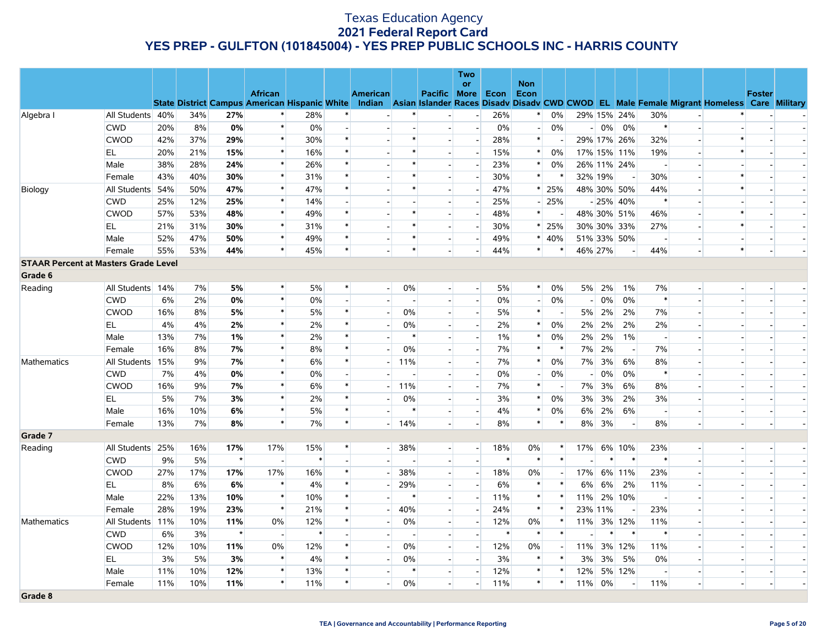|                                             |                  |     |     |         |                          |        |        |                          |                      |                          | Two                         |        |                          |                          |                          |        |                          |                          |                          |                                                                                                                                                |                |                          |
|---------------------------------------------|------------------|-----|-----|---------|--------------------------|--------|--------|--------------------------|----------------------|--------------------------|-----------------------------|--------|--------------------------|--------------------------|--------------------------|--------|--------------------------|--------------------------|--------------------------|------------------------------------------------------------------------------------------------------------------------------------------------|----------------|--------------------------|
|                                             |                  |     |     |         | <b>African</b>           |        |        | <b>American</b>          |                      | Pacific More             | or                          | Econ   | <b>Non</b><br>Econ       |                          |                          |        |                          |                          |                          |                                                                                                                                                | <b>Foster</b>  |                          |
|                                             |                  |     |     |         |                          |        |        |                          |                      |                          |                             |        |                          |                          |                          |        |                          |                          |                          | State District Campus American Hispanic White Indian Asian Islander Races Disadv Disadv CWD CWOD EL Male Female Migrant Homeless Care Military |                |                          |
| Algebra I                                   | All Students 40% |     | 34% | 27%     | $\ast$                   | 28%    | $\ast$ |                          | $\ast$               |                          | $\mathcal{L}_{\mathcal{A}}$ | 26%    | $\ast$                   | $0\%$                    |                          |        | 29% 15% 24%              | 30%                      | $\overline{\phantom{a}}$ |                                                                                                                                                |                |                          |
|                                             | <b>CWD</b>       | 20% | 8%  | 0%      | $\ast$                   | 0%     |        |                          |                      | $\overline{\phantom{a}}$ | $\overline{\phantom{a}}$    | 0%     | $\overline{a}$           | 0%                       |                          |        | $-0\%$ 0%                | $\ast$                   | $\overline{a}$           |                                                                                                                                                |                |                          |
|                                             | <b>CWOD</b>      | 42% | 37% | 29%     | $\ast$                   | 30%    | $\ast$ |                          | $\ast$               | $\overline{\phantom{a}}$ | $\overline{\phantom{a}}$    | 28%    | $\ast$                   |                          |                          |        | 29% 17% 26%              | 32%                      | $\overline{a}$           | $\ast$                                                                                                                                         |                |                          |
|                                             | EL.              | 20% | 21% | 15%     | $\ast$                   | 16%    | $\ast$ |                          | $\ast$               | $\overline{a}$           | $\overline{\phantom{a}}$    | 15%    | $*$                      | 0%                       |                          |        | 17% 15% 11%              | 19%                      |                          | $\ast$                                                                                                                                         |                |                          |
|                                             | Male             | 38% | 28% | 24%     | $\ast$                   | 26%    | $\ast$ |                          | $\ast$               | $\overline{\phantom{a}}$ |                             | 23%    | $\ast$                   | $0\%$                    |                          |        | 26% 11% 24%              |                          |                          |                                                                                                                                                |                |                          |
|                                             | Female           | 43% | 40% | 30%     | $\ast$                   | 31%    | $\ast$ |                          |                      | $\overline{a}$           | $\overline{\phantom{a}}$    | 30%    | $\ast$                   |                          | 32% 19%                  |        | $\overline{\phantom{a}}$ | 30%                      | $\overline{\phantom{a}}$ | $\ast$                                                                                                                                         |                |                          |
| Biology                                     | All Students 54% |     | 50% | 47%     | $\ast$                   | 47%    | $\ast$ |                          | $\ast$               | $\overline{\phantom{a}}$ | $\overline{\phantom{a}}$    | 47%    |                          | $*$ 25%                  |                          |        | 48% 30% 50%              | 44%                      |                          | $\ast$                                                                                                                                         |                |                          |
|                                             | <b>CWD</b>       | 25% | 12% | 25%     | $\ast$                   | 14%    |        |                          |                      | $\blacksquare$           | $\overline{a}$              | 25%    | $\overline{\phantom{0}}$ | 25%                      |                          |        | $-25\%$ 40%              | $\ast$                   |                          |                                                                                                                                                |                |                          |
|                                             | <b>CWOD</b>      | 57% | 53% | 48%     | $\ast$                   | 49%    | $\ast$ |                          | $\ast$               | $\overline{\phantom{a}}$ | $\overline{\phantom{a}}$    | 48%    | $\ast$                   |                          |                          |        | 48% 30% 51%              | 46%                      | $\overline{a}$           | $\ast$                                                                                                                                         |                |                          |
|                                             | EL               | 21% | 31% | 30%     | $\ast$                   | 31%    | $\ast$ |                          |                      | $\overline{a}$           | $\overline{\phantom{a}}$    | 30%    |                          | $*$ 25%                  |                          |        | 30% 30% 33%              | 27%                      | $\overline{\phantom{a}}$ | $\ast$                                                                                                                                         |                |                          |
|                                             | Male             | 52% | 47% | 50%     | $\ast$                   | 49%    | $\ast$ |                          | $\ast$               | $\overline{\phantom{a}}$ | $\overline{\phantom{a}}$    | 49%    | $*$                      | 40%                      |                          |        | 51% 33% 50%              | $\overline{\phantom{a}}$ | $\overline{a}$           |                                                                                                                                                | $\overline{a}$ | $\overline{a}$           |
|                                             | Female           | 55% | 53% | 44%     | $\ast$                   | 45%    | $\ast$ |                          | $\ast$               | $\overline{\phantom{a}}$ | $\blacksquare$              | 44%    | $\ast$                   |                          | 46% 27%                  |        | н.                       | 44%                      |                          | $\ast$                                                                                                                                         |                |                          |
| <b>STAAR Percent at Masters Grade Level</b> |                  |     |     |         |                          |        |        |                          |                      |                          |                             |        |                          |                          |                          |        |                          |                          |                          |                                                                                                                                                |                |                          |
| Grade 6                                     |                  |     |     |         |                          |        |        |                          |                      |                          |                             |        |                          |                          |                          |        |                          |                          |                          |                                                                                                                                                |                |                          |
| Reading                                     | All Students 14% |     | 7%  | 5%      | $\ast$                   | 5%     | $\ast$ |                          | 0%<br>$\overline{a}$ | $\overline{a}$           | $\overline{\phantom{a}}$    | 5%     | $*$                      | 0%                       | 5%                       | 2%     | $1\%$                    | 7%                       | $\overline{\phantom{a}}$ |                                                                                                                                                |                |                          |
|                                             | <b>CWD</b>       | 6%  | 2%  | 0%      | $\ast$                   | 0%     |        |                          |                      | $\overline{\phantom{a}}$ | $\overline{a}$              | 0%     |                          | 0%                       |                          | $-10%$ | 0%                       | $\ast$                   |                          |                                                                                                                                                |                |                          |
|                                             | <b>CWOD</b>      | 16% | 8%  | 5%      | $\ast$                   | 5%     | $\ast$ |                          | 0%                   | $\overline{a}$           | $\sim$                      | 5%     | $\ast$                   | $\overline{\phantom{a}}$ |                          | 5% 2%  | 2%                       | 7%                       | $\blacksquare$           |                                                                                                                                                |                | $\overline{\phantom{a}}$ |
|                                             | EL               | 4%  | 4%  | 2%      | $\ast$                   | 2%     | $\ast$ |                          | 0%                   | $\overline{a}$           | $\overline{\phantom{a}}$    | 2%     | $\ast$                   | 0%                       |                          | 2% 2%  | 2%                       | 2%                       |                          |                                                                                                                                                |                |                          |
|                                             | Male             | 13% | 7%  | 1%      | $\ast$                   | 2%     | $\ast$ |                          | $\ast$               | $\overline{a}$           | $\overline{\phantom{a}}$    | $1\%$  | $*$                      | 0%                       | 2%                       | 2%     | $1\%$                    | $\overline{a}$           | $\overline{\phantom{a}}$ |                                                                                                                                                |                |                          |
|                                             | Female           | 16% | 8%  | 7%      | $\ast$                   | 8%     | $\ast$ |                          | 0%                   |                          | $\overline{a}$              | 7%     | $\ast$                   | $\ast$                   | 7%                       | 2%     | $\overline{\phantom{a}}$ | 7%                       |                          |                                                                                                                                                |                |                          |
| Mathematics                                 | All Students 15% |     | 9%  | 7%      | $\ast$                   | 6%     | $\ast$ | $\overline{\phantom{a}}$ | 11%                  | $\overline{a}$           | $\sim$                      | 7%     | $\ast$                   | 0%                       |                          | 7% 3%  | 6%                       | 8%                       | $\overline{\phantom{a}}$ |                                                                                                                                                |                |                          |
|                                             | <b>CWD</b>       | 7%  | 4%  | 0%      | $\ast$                   | 0%     |        |                          |                      | $\overline{\phantom{a}}$ | $\overline{a}$              | 0%     |                          | 0%                       | $\overline{\phantom{0}}$ | 0%     | $0\%$                    | $\ast$                   |                          |                                                                                                                                                |                |                          |
|                                             | CWOD             | 16% | 9%  | 7%      | $\ast$                   | 6%     | $\ast$ |                          | 11%                  | $\overline{\phantom{0}}$ | $\overline{\phantom{a}}$    | 7%     | $\ast$                   |                          | 7%                       | 3%     | 6%                       | 8%                       | $\blacksquare$           |                                                                                                                                                |                |                          |
|                                             | EL.              | 5%  | 7%  | 3%      | $\ast$                   | 2%     | $\ast$ |                          | 0%                   | $\overline{\phantom{a}}$ | $\sim$                      | 3%     | $\ast$                   | 0%                       | 3%                       | 3%     | 2%                       | 3%                       | $\overline{a}$           |                                                                                                                                                |                |                          |
|                                             | Male             | 16% | 10% | 6%      | $\ast$                   | 5%     | $\ast$ |                          | $\ast$               | $\overline{\phantom{0}}$ | $\overline{\phantom{a}}$    | 4%     | $\ast$                   | 0%                       | 6%                       | 2%     | 6%                       | $\overline{\phantom{a}}$ | $\overline{\phantom{a}}$ | $\overline{\phantom{a}}$                                                                                                                       |                | $\overline{\phantom{a}}$ |
|                                             | Female           | 13% | 7%  | 8%      | $\ast$                   | 7%     | $\ast$ |                          | $-14%$               | $\overline{\phantom{a}}$ | $\overline{a}$              | 8%     | $\ast$                   | $\ast$                   | 8%                       | 3%     | $\sim$                   | 8%                       | $\overline{a}$           |                                                                                                                                                | $\overline{a}$ |                          |
| Grade 7                                     |                  |     |     |         |                          |        |        |                          |                      |                          |                             |        |                          |                          |                          |        |                          |                          |                          |                                                                                                                                                |                |                          |
| Reading                                     | All Students 25% |     | 16% | 17%     | 17%                      | 15%    | $\ast$ |                          | 38%<br>$-1$          | $\overline{a}$           | $\overline{a}$              | 18%    | 0%                       | $\ast$                   | 17%                      |        | 6% 10%                   | 23%                      | $\overline{a}$           |                                                                                                                                                |                |                          |
|                                             | <b>CWD</b>       | 9%  | 5%  | $\star$ | $\overline{a}$           | $\ast$ |        |                          |                      | $\blacksquare$           | $\blacksquare$              | $\ast$ | $\ast$                   | $\ast$                   |                          | $\ast$ | $\ast$                   | $\ast$                   |                          |                                                                                                                                                |                |                          |
|                                             | <b>CWOD</b>      | 27% | 17% | 17%     | 17%                      | 16%    | $\ast$ |                          | 38%                  | $\overline{a}$           | $\overline{a}$              | 18%    | 0%                       |                          |                          |        | 17% 6% 11%               | 23%                      | $\mathbf{L}$             |                                                                                                                                                |                |                          |
|                                             | EL.              | 8%  | 6%  | 6%      | $\ast$                   | 4%     | $\ast$ |                          | 29%                  | $\overline{a}$           | $\blacksquare$              | 6%     | $\ast$                   | $\ast$                   | 6%                       | 6%     | 2%                       | 11%                      |                          |                                                                                                                                                |                |                          |
|                                             | Male             | 22% | 13% | 10%     | $\ast$                   | 10%    | $\ast$ | $\blacksquare$           | $\ast$               | $\overline{a}$           | $\sim$                      | 11%    | $\ast$                   | $\ast$                   | 11%                      |        | 2% 10%                   | $\overline{\phantom{a}}$ | $\blacksquare$           |                                                                                                                                                |                | $\overline{\phantom{a}}$ |
|                                             | Female           | 28% | 19% | 23%     | $\ast$                   | 21%    | $\ast$ |                          | 40%                  | $\overline{\phantom{a}}$ | $\overline{\phantom{a}}$    | 24%    | $\ast$                   | $\ast$                   | 23% 11%                  |        |                          | 23%                      |                          |                                                                                                                                                |                |                          |
| Mathematics                                 | All Students 11% |     | 10% | 11%     | 0%                       | 12%    | $\ast$ | $\overline{\phantom{a}}$ | 0%                   | $\overline{a}$           | $\overline{\phantom{a}}$    | 12%    | 0%                       | $\ast$                   | 11%                      |        | 3% 12%                   | 11%                      | $\overline{a}$           |                                                                                                                                                |                | $\overline{a}$           |
|                                             | <b>CWD</b>       | 6%  | 3%  | $\star$ | $\overline{\phantom{a}}$ | $\ast$ |        |                          |                      | $\blacksquare$           |                             | $\ast$ | $\ast$                   | $\ast$                   |                          | $\ast$ | $\ast$                   | $\ast$                   |                          |                                                                                                                                                |                |                          |
|                                             | <b>CWOD</b>      | 12% | 10% | 11%     | 0%                       | 12%    | $\ast$ |                          | 0%                   | $\overline{a}$           | $\overline{a}$              | 12%    | 0%                       |                          |                          |        | 11% 3% 12%               | 11%                      | $\overline{\phantom{a}}$ |                                                                                                                                                |                |                          |
|                                             | EL               | 3%  | 5%  | 3%      | $\ast$                   | 4%     |        |                          | 0%                   | $\overline{a}$           | $\overline{a}$              | 3%     | $\ast$                   | $\ast$                   | 3%                       | 3%     | 5%                       | 0%                       | $\overline{a}$           |                                                                                                                                                |                |                          |
|                                             | Male             | 11% | 10% | 12%     | $\ast$                   | 13%    | $\ast$ |                          |                      | $\overline{\phantom{a}}$ | $\blacksquare$              | 12%    | $\ast$                   | $\ast$                   | 12%                      |        | 5% 12%                   | $\overline{\phantom{a}}$ |                          |                                                                                                                                                |                |                          |
|                                             | Female           | 11% | 10% | 11%     | $\ast$                   | 11%    | $\ast$ |                          | 0%                   | $\overline{\phantom{a}}$ | $\overline{a}$              | 11%    | $\ast$                   | $\ast$                   | 11%                      | 0%     | $\overline{\phantom{a}}$ | 11%                      | $\overline{a}$           |                                                                                                                                                |                |                          |
| Grade 8                                     |                  |     |     |         |                          |        |        |                          |                      |                          |                             |        |                          |                          |                          |        |                          |                          |                          |                                                                                                                                                |                |                          |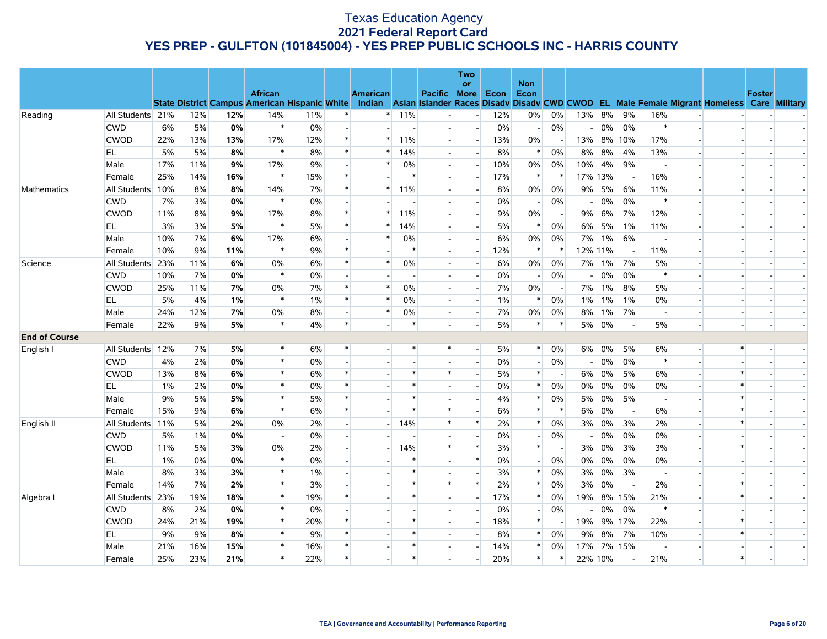|                      |                  |       |     |       |                                                      |       |        |                 |        |                          | Two<br>or                |       | <b>Non</b>     |                          |                          |       |                          |                          |                          |                                                                                           |               |  |
|----------------------|------------------|-------|-----|-------|------------------------------------------------------|-------|--------|-----------------|--------|--------------------------|--------------------------|-------|----------------|--------------------------|--------------------------|-------|--------------------------|--------------------------|--------------------------|-------------------------------------------------------------------------------------------|---------------|--|
|                      |                  |       |     |       | <b>African</b>                                       |       |        | <b>American</b> |        | Pacific More             |                          | Econ  | Econ           |                          |                          |       |                          |                          |                          |                                                                                           | <b>Foster</b> |  |
|                      |                  |       |     |       | <b>State District Campus American Hispanic White</b> |       |        | Indian          |        |                          |                          |       |                |                          |                          |       |                          |                          |                          | Asian Islander Races Disady Disady CWD CWOD EL Male Female Migrant Homeless Care Military |               |  |
| Reading              | All Students 21% |       | 12% | 12%   | 14%                                                  | 11%   |        |                 | 11%    |                          | $\overline{\phantom{a}}$ | 12%   | 0%             | 0%                       | 13%                      | 8%    | 9%                       | 16%                      |                          |                                                                                           |               |  |
|                      | <b>CWD</b>       | 6%    | 5%  | 0%    | $\ast$                                               | $0\%$ |        |                 |        | $\overline{\phantom{a}}$ | $\sim$                   | 0%    | $\overline{a}$ | 0%                       |                          | 0%    | 0%                       | $\ast$                   | $\overline{a}$           |                                                                                           |               |  |
|                      | <b>CWOD</b>      | 22%   | 13% | 13%   | 17%                                                  | 12%   | $\ast$ | $\ast$          | 11%    | $\overline{a}$           | $\overline{\phantom{a}}$ | 13%   | 0%             | $\overline{\phantom{a}}$ | 13%                      |       | 8% 10%                   | 17%                      |                          |                                                                                           |               |  |
|                      | EL               | 5%    | 5%  | 8%    | $\ast$                                               | 8%    | $\ast$ |                 | 14%    | $\sim$                   | $\overline{a}$           | 8%    | $\ast$         | 0%                       | 8%                       | 8%    | 4%                       | 13%                      |                          |                                                                                           |               |  |
|                      | Male             | 17%   | 11% | 9%    | 17%                                                  | 9%    |        | $\ast$          | 0%     | $\overline{\phantom{a}}$ | $\overline{a}$           | 10%   | 0%             | 0%                       | 10%                      | 4%    | 9%                       |                          |                          |                                                                                           |               |  |
|                      | Female           | 25%   | 14% | 16%   | $\ast$                                               | 15%   | $\ast$ |                 | $\ast$ | $\overline{a}$           | $\overline{\phantom{a}}$ | 17%   | $\ast$         |                          | 17% 13%                  |       |                          | 16%                      |                          |                                                                                           |               |  |
| Mathematics          | All Students 10% |       | 8%  | 8%    | 14%                                                  | 7%    | $\ast$ | $\ast$          | 11%    | $\overline{a}$           | $\overline{\phantom{a}}$ | 8%    | $0\%$          | 0%                       | 9%                       | 5%    | 6%                       | 11%                      |                          |                                                                                           |               |  |
|                      | <b>CWD</b>       | 7%    | 3%  | 0%    | $\ast$                                               | 0%    |        |                 |        |                          | $\overline{\phantom{a}}$ | 0%    |                | 0%                       |                          | 0%    | 0%                       | $\ast$                   |                          |                                                                                           |               |  |
|                      | <b>CWOD</b>      | 11%   | 8%  | 9%    | 17%                                                  | 8%    | $\ast$ | $\ast$          | 11%    | $\overline{a}$           | $\overline{a}$           | 9%    | 0%             | $\overline{\phantom{a}}$ | 9%                       | 6%    | 7%                       | 12%                      |                          |                                                                                           |               |  |
|                      | EL               | 3%    | 3%  | 5%    | $\ast$                                               | 5%    |        |                 | 14%    | $\sim$                   | $\overline{\phantom{a}}$ | $5\%$ | $\ast$         | 0%                       | 6%                       | 5%    | 1%                       | 11%                      |                          |                                                                                           |               |  |
|                      | Male             | 10%   | 7%  | 6%    | 17%                                                  | 6%    |        | $\ast$          | 0%     |                          |                          | 6%    | 0%             | 0%                       | 7%                       | $1\%$ | 6%                       |                          |                          |                                                                                           |               |  |
|                      | Female           | 10%   | 9%  | 11%   | $\ast$                                               | 9%    | $\ast$ |                 | $\ast$ | $\overline{a}$           | $\overline{\phantom{a}}$ | 12%   | $\ast$         | $\ast$                   | 12% 11%                  |       |                          | 11%                      |                          |                                                                                           |               |  |
| Science              | All Students 23% |       | 11% | 6%    | 0%                                                   | 6%    | $\ast$ | $\ast$          | 0%     | $\overline{\phantom{0}}$ | $\overline{\phantom{a}}$ | 6%    | $0\%$          | 0%                       | 7%                       | $1\%$ | 7%                       | 5%                       |                          |                                                                                           |               |  |
|                      | <b>CWD</b>       | 10%   | 7%  | 0%    | $\ast$                                               | 0%    |        |                 |        |                          |                          | 0%    |                | 0%                       | - 1                      | $0\%$ | 0%                       | $\ast$                   |                          |                                                                                           |               |  |
|                      | <b>CWOD</b>      | 25%   | 11% | 7%    | 0%                                                   | 7%    | $\ast$ | $\ast$          | 0%     | $\overline{a}$           | $\blacksquare$           | 7%    | 0%             | $\overline{\phantom{a}}$ | 7%                       | $1\%$ | 8%                       | 5%                       | $\overline{a}$           |                                                                                           |               |  |
|                      | EL.              | 5%    | 4%  | 1%    | $\ast$                                               | 1%    | $\ast$ | $\ast$          | 0%     | $\overline{a}$           | $\blacksquare$           | $1\%$ | $\ast$         | 0%                       | 1%                       | $1\%$ | 1%                       | 0%                       | $\overline{\phantom{a}}$ |                                                                                           |               |  |
|                      | Male             | 24%   | 12% | 7%    | 0%                                                   | 8%    |        | $\ast$          | 0%     | $\blacksquare$           | $\overline{a}$           | 7%    | 0%             | 0%                       | 8%                       | $1\%$ | 7%                       |                          |                          |                                                                                           |               |  |
|                      | Female           | 22%   | 9%  | 5%    | $\ast$                                               | 4%    | $\ast$ |                 | $\ast$ | $\overline{a}$           | $\overline{a}$           | 5%    | $\ast$         | $\ast$                   | 5%                       | 0%    | $\overline{\phantom{a}}$ | 5%                       | $\overline{a}$           |                                                                                           |               |  |
| <b>End of Course</b> |                  |       |     |       |                                                      |       |        |                 |        |                          |                          |       |                |                          |                          |       |                          |                          |                          |                                                                                           |               |  |
| English I            | All Students 12% |       | 7%  | 5%    | $\ast$                                               | 6%    | $\ast$ |                 |        | $\ast$                   | $\overline{a}$           | 5%    | $\ast$         | 0%                       | 6%                       | $0\%$ | 5%                       | 6%                       | $\overline{\phantom{a}}$ | $\ast$                                                                                    |               |  |
|                      | <b>CWD</b>       | 4%    | 2%  | 0%    | $\ast$                                               | 0%    |        |                 |        |                          | $\overline{a}$           | $0\%$ |                | 0%                       |                          | $0\%$ | 0%                       | $\ast$                   | $\overline{a}$           |                                                                                           |               |  |
|                      | <b>CWOD</b>      | 13%   | 8%  | 6%    | $\ast$                                               | 6%    | $\ast$ |                 |        | $\ast$                   | $\overline{a}$           | 5%    | $\ast$         | $\overline{\phantom{a}}$ | 6%                       | $0\%$ | 5%                       | 6%                       | $\overline{a}$           | $\ast$                                                                                    |               |  |
|                      | EL               | $1\%$ | 2%  | 0%    | $\ast$                                               | 0%    |        |                 |        |                          |                          | 0%    | $\ast$         | 0%                       | 0%                       | 0%    | 0%                       | 0%                       |                          |                                                                                           |               |  |
|                      | Male             | 9%    | 5%  | 5%    | $\ast$                                               | 5%    | $\ast$ |                 | $\ast$ |                          |                          | 4%    | $\ast$         | 0%                       | 5%                       | $0\%$ | 5%                       |                          |                          | $\ast$                                                                                    |               |  |
|                      | Female           | 15%   | 9%  | 6%    | $\ast$                                               | 6%    | $\ast$ |                 | $\ast$ | $\ast$                   |                          | 6%    | $\ast$         | $\ast$                   | 6%                       | $0\%$ | $\overline{\phantom{a}}$ | 6%                       |                          | $\ast$                                                                                    |               |  |
| English II           | All Students 11% |       | 5%  | 2%    | 0%                                                   | 2%    |        |                 | 14%    | $\ast$                   | $\ast$                   | 2%    | $\ast$         | 0%                       | 3%                       | $0\%$ | 3%                       | 2%                       | $\overline{\phantom{a}}$ | $\ast$                                                                                    |               |  |
|                      | <b>CWD</b>       | 5%    | 1%  | 0%    |                                                      | 0%    |        |                 |        |                          |                          | 0%    |                | 0%                       | $\overline{\phantom{0}}$ | $0\%$ | 0%                       | 0%                       |                          |                                                                                           |               |  |
|                      | <b>CWOD</b>      | 11%   | 5%  | 3%    | 0%                                                   | 2%    |        |                 | 14%    | $\ast$                   | $\ast$                   | 3%    | $\ast$         |                          | 3%                       | 0%    | 3%                       | 3%                       | $\overline{a}$           |                                                                                           |               |  |
|                      | EL.              | $1\%$ | 0%  | $0\%$ | $\ast$                                               | $0\%$ |        |                 |        | $\sim$                   | $\ast$                   | $0\%$ | $\sim$         | 0%                       | $0\%$                    | 0%    | 0%                       | 0%                       | $\overline{\phantom{a}}$ |                                                                                           |               |  |
|                      | Male             | 8%    | 3%  | 3%    | $\ast$                                               | 1%    |        |                 | $\ast$ |                          |                          | 3%    | $\ast$         | 0%                       | 3%                       | $0\%$ | 3%                       | $\overline{\phantom{a}}$ |                          |                                                                                           |               |  |
|                      | Female           | 14%   | 7%  | 2%    | $\ast$                                               | 3%    |        |                 | $\ast$ | $\ast$                   | $\ast$                   | 2%    | $\ast$         | 0%                       | 3%                       | 0%    |                          | 2%                       |                          | $\ast$                                                                                    |               |  |
| Algebra I            | All Students 23% |       | 19% | 18%   | $\ast$                                               | 19%   | $\ast$ |                 | $\ast$ | $\overline{a}$           | $\blacksquare$           | 17%   | $\ast$         | 0%                       | 19%                      |       | 8% 15%                   | 21%                      |                          | $\ast$                                                                                    |               |  |
|                      | <b>CWD</b>       | 8%    | 2%  | 0%    | $\ast$                                               | 0%    |        |                 |        | $\sim$                   | $\overline{\phantom{a}}$ | 0%    |                | 0%                       |                          | 0%    | 0%                       | $\ast$                   | $\overline{\phantom{a}}$ |                                                                                           |               |  |
|                      | <b>CWOD</b>      | 24%   | 21% | 19%   | $\ast$                                               | 20%   |        |                 |        | $\sim$                   | $\sim$                   | 18%   |                |                          | 19%                      |       | 9% 17%                   | 22%                      |                          |                                                                                           |               |  |
|                      | EL.              | 9%    | 9%  | 8%    | $\ast$                                               | 9%    | $\ast$ |                 |        | $\blacksquare$           |                          | 8%    | $\ast$         | 0%                       | 9%                       | 8%    | 7%                       | 10%                      |                          |                                                                                           |               |  |
|                      | Male             | 21%   | 16% | 15%   | $\ast$                                               | 16%   | $\ast$ |                 |        | $\blacksquare$           |                          | 14%   | $\ast$         | 0%                       | 17%                      |       | 7% 15%                   |                          |                          |                                                                                           |               |  |
|                      | Female           | 25%   | 23% | 21%   | $\ast$                                               | 22%   | $\ast$ |                 | $\ast$ |                          |                          | 20%   | $\ast$         | ∗                        | 22% 10%                  |       |                          | 21%                      |                          | $\ast$                                                                                    |               |  |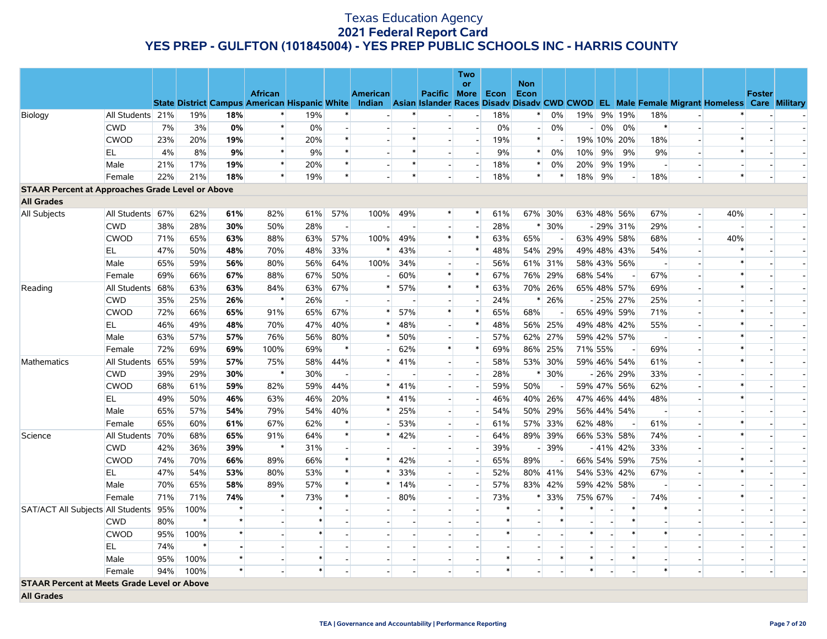|                                                         |                  |     |        |         |                                                      |        |                          |                 |        |                          | Two<br><b>or</b>         |        | <b>Non</b>               |         |        |         |             |                                                                                                  |        |               |                          |
|---------------------------------------------------------|------------------|-----|--------|---------|------------------------------------------------------|--------|--------------------------|-----------------|--------|--------------------------|--------------------------|--------|--------------------------|---------|--------|---------|-------------|--------------------------------------------------------------------------------------------------|--------|---------------|--------------------------|
|                                                         |                  |     |        |         | <b>African</b>                                       |        |                          | <b>American</b> |        | Pacific   More           |                          | Econ   | Econ                     |         |        |         |             |                                                                                                  |        | <b>Foster</b> |                          |
|                                                         |                  |     |        |         | <b>State District Campus American Hispanic White</b> |        |                          |                 |        |                          |                          |        |                          |         |        |         |             | Indian Asian Islander Races Disady Disady CWD CWOD EL Male Female Migrant Homeless Care Military |        |               |                          |
| Biology                                                 | All Students 21% |     | 19%    | 18%     | *                                                    | 19%    | $\ast$                   |                 | $\ast$ |                          | $\overline{\phantom{a}}$ | 18%    | $\ast$                   | $0\%$   | 19%    |         | 9% 19%      | 18%                                                                                              |        |               |                          |
|                                                         | <b>CWD</b>       | 7%  | 3%     | 0%      | $\ast$                                               | $0\%$  |                          |                 |        | $\overline{a}$           | $\overline{\phantom{a}}$ | 0%     | $\left  - \right $       | 0%      | $-1$   | $0\%$   | 0%          | $\ast$<br>$\overline{a}$                                                                         |        |               |                          |
|                                                         | <b>CWOD</b>      | 23% | 20%    | 19%     | $\ast$                                               | 20%    | $\ast$                   |                 | $\ast$ | $\overline{a}$           | $\overline{a}$           | 19%    | $\ast$                   |         |        |         | 19% 10% 20% | 18%                                                                                              |        |               |                          |
|                                                         | EL               | 4%  | 8%     | 9%      | $\ast$                                               | 9%     | $\ast$                   |                 | $\ast$ | $\overline{a}$           | $\overline{a}$           | 9%     | $\ast$                   | 0%      | 10%    | 9%      | 9%          | 9%<br>$\overline{a}$                                                                             | $\ast$ |               |                          |
|                                                         | Male             | 21% | 17%    | 19%     | $\ast$                                               | 20%    | $\ast$                   |                 | $\ast$ |                          |                          | 18%    | $\ast$                   | 0%      | 20%    |         | 9% 19%      | $\overline{\phantom{a}}$                                                                         |        |               |                          |
|                                                         | Female           | 22% | 21%    | 18%     | $\ast$                                               | 19%    | $\ast$                   |                 | $\ast$ |                          |                          | 18%    | $\ast$                   |         | 18%    | 9%      |             | 18%                                                                                              | $\ast$ |               |                          |
| <b>STAAR Percent at Approaches Grade Level or Above</b> |                  |     |        |         |                                                      |        |                          |                 |        |                          |                          |        |                          |         |        |         |             |                                                                                                  |        |               |                          |
| <b>All Grades</b>                                       |                  |     |        |         |                                                      |        |                          |                 |        |                          |                          |        |                          |         |        |         |             |                                                                                                  |        |               |                          |
| All Subjects                                            | All Students 67% |     | 62%    | 61%     | 82%                                                  | 61%    | 57%                      | 100%            | 49%    | $\ast$                   | $\ast$                   | 61%    |                          | 67% 30% |        |         | 63% 48% 56% | 67%<br>$\overline{a}$                                                                            | 40%    |               |                          |
|                                                         | <b>CWD</b>       | 38% | 28%    | 30%     | 50%                                                  | 28%    | $\overline{\phantom{a}}$ |                 |        | H                        |                          | 28%    | $\ast$                   | 30%     |        |         | $-29\%$ 31% | 29%<br>$\overline{\phantom{a}}$                                                                  |        |               |                          |
|                                                         | <b>CWOD</b>      | 71% | 65%    | 63%     | 88%                                                  | 63%    | 57%                      | 100%            | 49%    | $\ast$                   | $\ast$                   | 63%    | 65%                      | $\sim$  |        |         | 63% 49% 58% | 68%<br>$\overline{\phantom{a}}$                                                                  | 40%    |               |                          |
|                                                         | EL               | 47% | 50%    | 48%     | 70%                                                  | 48%    | 33%                      | $\ast$          | 43%    |                          | $\ast$                   | 48%    |                          | 54% 29% |        |         | 49% 48% 43% | 54%                                                                                              |        |               |                          |
|                                                         | Male             | 65% | 59%    | 56%     | 80%                                                  | 56%    | 64%                      | 100%            | 34%    | $\overline{a}$           | $\overline{a}$           | 56%    |                          | 61% 31% |        |         | 58% 43% 56% | $\sim$<br>$\overline{a}$                                                                         |        |               |                          |
|                                                         | Female           | 69% | 66%    | 67%     | 88%                                                  | 67%    | 50%                      |                 | 60%    | $\ast$                   | $\ast$                   | 67%    |                          | 76% 29% |        | 68% 54% |             | 67%                                                                                              |        |               |                          |
| Reading                                                 | All Students 68% |     | 63%    | 63%     | 84%                                                  | 63%    | 67%                      | $*$             | 57%    | $\ast$                   | $\ast$                   | 63%    |                          | 70% 26% |        |         | 65% 48% 57% | 69%<br>$\overline{\phantom{a}}$                                                                  |        |               |                          |
|                                                         | <b>CWD</b>       | 35% | 25%    | 26%     | $\ast$                                               | 26%    | $\overline{\phantom{a}}$ |                 |        |                          |                          | 24%    |                          | $* 26%$ |        |         | $-25\%$ 27% | 25%                                                                                              |        |               |                          |
|                                                         | <b>CWOD</b>      | 72% | 66%    | 65%     | 91%                                                  | 65%    | 67%                      |                 | 57%    | $\ast$                   | $\ast$                   | 65%    | 68%                      |         |        |         | 65% 49% 59% | 71%<br>$\overline{\phantom{a}}$                                                                  |        |               |                          |
|                                                         | EL               | 46% | 49%    | 48%     | 70%                                                  | 47%    | 40%                      | $\ast$          | 48%    | $\overline{\phantom{a}}$ | $\ast$                   | 48%    |                          | 56% 25% |        |         | 49% 48% 42% | 55%                                                                                              |        |               | $\overline{a}$           |
|                                                         | Male             | 63% | 57%    | 57%     | 76%                                                  | 56%    | 80%                      | *               | 50%    | $\overline{\phantom{a}}$ | $\overline{\phantom{a}}$ | 57%    |                          | 62% 27% |        |         | 59% 42% 57% | $\overline{\phantom{a}}$                                                                         |        |               | $\overline{\phantom{a}}$ |
|                                                         | Female           | 72% | 69%    | 69%     | 100%                                                 | 69%    | $\ast$                   |                 | 62%    | $\ast$                   | $\ast$                   | 69%    |                          | 86% 25% |        | 71% 55% |             | 69%                                                                                              | $\ast$ |               |                          |
| Mathematics                                             | All Students 65% |     | 59%    | 57%     | 75%                                                  | 58%    | 44%                      |                 | 41%    | $\overline{\phantom{a}}$ | $\sim$ )                 | 58%    |                          | 53% 30% |        |         | 59% 46% 54% | 61%<br>$\overline{\phantom{a}}$                                                                  |        |               |                          |
|                                                         | <b>CWD</b>       | 39% | 29%    | 30%     | $\ast$                                               | 30%    | $\overline{\phantom{a}}$ |                 |        | H                        | $\overline{a}$           | 28%    |                          | $*$ 30% |        |         | $-26\%$ 29% | 33%<br>$\overline{a}$                                                                            |        |               |                          |
|                                                         | <b>CWOD</b>      | 68% | 61%    | 59%     | 82%                                                  | 59%    | 44%                      | *               | 41%    |                          |                          | 59%    | 50%                      |         |        | 59% 47% | 56%         | 62%                                                                                              |        |               |                          |
|                                                         | EL               | 49% | 50%    | 46%     | 63%                                                  | 46%    | 20%                      | *               | 41%    | $\overline{\phantom{a}}$ | $\overline{\phantom{a}}$ | 46%    |                          | 40% 26% |        |         | 47% 46% 44% | 48%<br>$\overline{a}$                                                                            | $\ast$ |               |                          |
|                                                         | Male             | 65% | 57%    | 54%     | 79%                                                  | 54%    | 40%                      | *               | 25%    |                          | $\overline{a}$           | 54%    |                          | 50% 29% |        |         | 56% 44% 54% | $\overline{\phantom{a}}$                                                                         |        |               |                          |
|                                                         | Female           | 65% | 60%    | 61%     | 67%                                                  | 62%    | $\ast$                   |                 | 53%    | $\overline{\phantom{a}}$ | $\overline{\phantom{a}}$ | 61%    |                          | 57% 33% |        | 62% 48% |             | 61%<br>$\blacksquare$                                                                            |        |               |                          |
| Science                                                 | All Students 70% |     | 68%    | 65%     | 91%                                                  | 64%    | $\ast$                   | $\ast$          | 42%    | $\overline{a}$           | $\blacksquare$           | 64%    |                          | 89% 39% |        |         | 66% 53% 58% | 74%                                                                                              |        |               |                          |
|                                                         | <b>CWD</b>       | 42% | 36%    | 39%     | $\ast$                                               | 31%    |                          |                 |        | $\overline{\phantom{a}}$ |                          | 39%    |                          | $-39%$  |        |         | $-41\%$ 42% | 33%                                                                                              |        |               |                          |
|                                                         | <b>CWOD</b>      | 74% | 70%    | 66%     | 89%                                                  | 66%    | $\ast$                   | $\ast$          | 42%    | $\overline{a}$           | $\overline{a}$           | 65%    | 89%                      |         |        |         | 66% 54% 59% | 75%<br>$\overline{a}$                                                                            |        |               |                          |
|                                                         | EL               | 47% | 54%    | 53%     | 80%                                                  | 53%    | $\ast$                   | *               | 33%    | $\overline{a}$           | $\overline{\phantom{a}}$ | 52%    |                          | 80% 41% |        |         | 54% 53% 42% | 67%                                                                                              |        |               |                          |
|                                                         | Male             | 70% | 65%    | 58%     | 89%                                                  | 57%    | $\ast$                   | $\ast$          | 14%    | H                        | $\overline{a}$           | 57%    |                          | 83% 42% |        |         | 59% 42% 58% | $\overline{\phantom{a}}$<br>$\sim$                                                               |        |               |                          |
|                                                         | Female           | 71% | 71%    | 74%     | $\ast$                                               | 73%    | $\ast$                   |                 | 80%    | $\overline{a}$           | $\blacksquare$           | 73%    | $\ast$                   | 33%     |        | 75% 67% |             | 74%                                                                                              | $\ast$ |               |                          |
| SAT/ACT All Subjects All Students 95%                   |                  |     | 100%   | $\star$ |                                                      | $\ast$ |                          |                 |        | н.                       |                          | $\ast$ | $\sim$                   |         | $\ast$ |         | $\ast$      | $\ast$<br>$\overline{a}$                                                                         |        |               | $\overline{\phantom{a}}$ |
|                                                         | <b>CWD</b>       | 80% | $\ast$ |         |                                                      | $\ast$ |                          |                 |        |                          |                          | $\ast$ |                          | $\ast$  |        |         | $\ast$      |                                                                                                  |        |               |                          |
|                                                         | <b>CWOD</b>      | 95% | 100%   |         |                                                      | $\ast$ |                          |                 |        | $\overline{\phantom{a}}$ |                          | $\ast$ |                          |         | $\ast$ | $\sim$  | $\ast$      | $\ast$<br>$\blacksquare$                                                                         |        |               |                          |
|                                                         | EL               | 74% | $\ast$ |         |                                                      |        |                          |                 |        |                          |                          |        |                          |         |        |         |             |                                                                                                  |        |               |                          |
|                                                         | Male             | 95% | 100%   |         |                                                      | $\ast$ |                          |                 |        | $\overline{\phantom{a}}$ |                          | $\ast$ | $\overline{\phantom{a}}$ | $\ast$  | $\ast$ |         | $\ast$      | $\overline{\phantom{a}}$<br>$\overline{\phantom{a}}$                                             |        |               |                          |
|                                                         | Female           | 94% | 100%   | $\star$ |                                                      | $\ast$ |                          |                 |        |                          |                          | $\ast$ |                          |         | $\ast$ |         |             | $\ast$                                                                                           |        |               |                          |
| <b>STAAR Percent at Meets Grade Level or Above</b>      |                  |     |        |         |                                                      |        |                          |                 |        |                          |                          |        |                          |         |        |         |             |                                                                                                  |        |               |                          |
| <b>All Grades</b>                                       |                  |     |        |         |                                                      |        |                          |                 |        |                          |                          |        |                          |         |        |         |             |                                                                                                  |        |               |                          |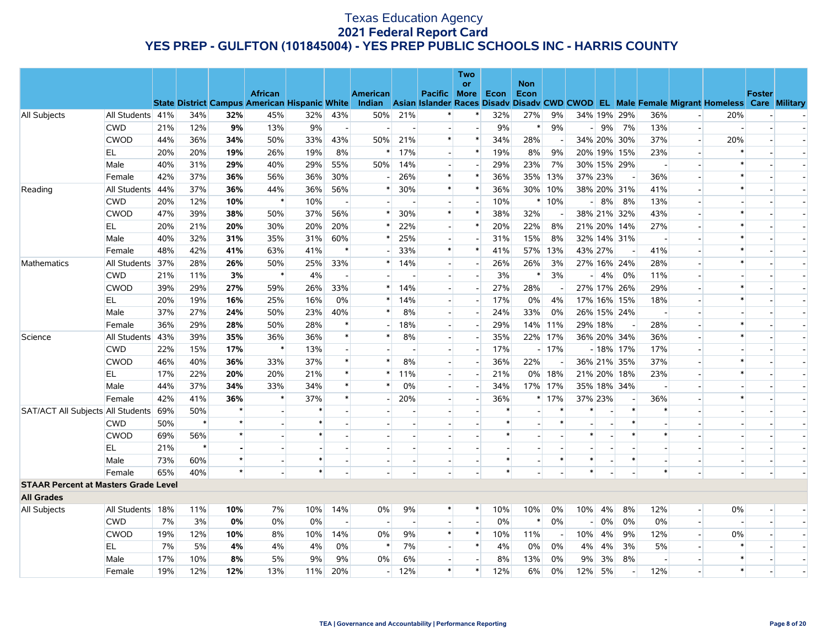|                                             |                  |     |        |         |                                                      |        |                          |                |                |                          | <b>Two</b><br>or         |        | <b>Non</b> |                |                                                                                                  |                          |                          |                          |        |                          |  |
|---------------------------------------------|------------------|-----|--------|---------|------------------------------------------------------|--------|--------------------------|----------------|----------------|--------------------------|--------------------------|--------|------------|----------------|--------------------------------------------------------------------------------------------------|--------------------------|--------------------------|--------------------------|--------|--------------------------|--|
|                                             |                  |     |        |         | <b>African</b>                                       |        |                          | American       |                | Pacific More             |                          | Econ   | Econ       |                |                                                                                                  |                          |                          |                          |        | <b>Foster</b>            |  |
|                                             |                  |     |        |         | <b>State District Campus American Hispanic White</b> |        |                          |                |                |                          |                          |        |            |                | Indian Asian Islander Races Disady Disady CWD CWOD EL Male Female Migrant Homeless Care Military |                          |                          |                          |        |                          |  |
| All Subjects                                | All Students 41% |     | 34%    | 32%     | 45%                                                  | 32%    | 43%                      | 50%            | 21%            |                          | $\ast$                   | 32%    | 27%        | 9%             | 34% 19% 29%                                                                                      |                          | 36%                      |                          | 20%    |                          |  |
|                                             | <b>CWD</b>       | 21% | 12%    | 9%      | 13%                                                  | 9%     | $\overline{\phantom{a}}$ |                |                |                          | $\overline{\phantom{a}}$ | 9%     | $\ast$     | 9%             | $-9%$                                                                                            | 7%                       | 13%                      | $\overline{a}$           |        |                          |  |
|                                             | <b>CWOD</b>      | 44% | 36%    | 34%     | 50%                                                  | 33%    | 43%                      | 50%            | 21%            | $\ast$                   | $\ast$                   | 34%    | 28%        |                | 34% 20% 30%                                                                                      |                          | 37%                      | $\overline{\phantom{a}}$ | 20%    |                          |  |
|                                             | EL               | 20% | 20%    | 19%     | 26%                                                  | 19%    | 8%                       | $\ast$         | 17%            | $\overline{a}$           | $\ast$                   | 19%    | 8%         | 9%             | 20% 19% 15%                                                                                      |                          | 23%                      | $\overline{\phantom{a}}$ |        |                          |  |
|                                             | Male             | 40% | 31%    | 29%     | 40%                                                  | 29%    | 55%                      | 50%            | 14%            | $\overline{\phantom{a}}$ |                          | 29%    | 23%        | 7%             | 30% 15% 29%                                                                                      |                          |                          |                          | $\ast$ |                          |  |
|                                             | Female           | 42% | 37%    | 36%     | 56%                                                  | 36%    | 30%                      |                | 26%            | $\ast$                   | $\ast$                   | 36%    |            | 35% 13%        | 37% 23%                                                                                          | $\overline{\phantom{a}}$ | 36%                      | $\overline{a}$           | $\ast$ |                          |  |
| Reading                                     | All Students 44% |     | 37%    | 36%     | 44%                                                  | 36%    | 56%                      | $\ast$         | 30%            | $\ast$                   | $\ast$                   | 36%    |            | 30% 10%        | 38% 20% 31%                                                                                      |                          | 41%                      |                          | $\ast$ |                          |  |
|                                             | <b>CWD</b>       | 20% | 12%    | 10%     | $\ast$                                               | 10%    |                          |                |                |                          |                          | 10%    |            | $*10%$         | $-8%$                                                                                            | 8%                       | 13%                      |                          |        |                          |  |
|                                             | <b>CWOD</b>      | 47% | 39%    | 38%     | 50%                                                  | 37%    | 56%                      | $\ast$         | 30%            | $\ast$                   | $\ast$                   | 38%    | 32%        |                | 38% 21% 32%                                                                                      |                          | 43%                      | $\overline{a}$           | $\ast$ |                          |  |
|                                             | EL               | 20% | 21%    | 20%     | 30%                                                  | 20%    | 20%                      |                | 22%            |                          | $\ast$                   | 20%    | 22%        | 8%             | 21% 20% 14%                                                                                      |                          | 27%                      |                          | $\ast$ |                          |  |
|                                             | Male             | 40% | 32%    | 31%     | 35%                                                  | 31%    | 60%                      | $\ast$         | 25%            | $\overline{a}$           | $\overline{\phantom{a}}$ | 31%    | 15%        | 8%             | 32% 14% 31%                                                                                      |                          | $\overline{a}$           | $\overline{a}$           | $\ast$ |                          |  |
|                                             | Female           | 48% | 42%    | 41%     | 63%                                                  | 41%    |                          |                | 33%            | $\ast$                   | $\ast$                   | 41%    |            | 57% 13%        | 43% 27%                                                                                          | $\overline{\phantom{a}}$ | 41%                      | $\overline{\phantom{a}}$ | $\ast$ |                          |  |
| Mathematics                                 | All Students 37% |     | 28%    | 26%     | 50%                                                  | 25%    | 33%                      | $\ast$         | 14%            |                          |                          | 26%    | 26%        | 3%             | 27% 16% 24%                                                                                      |                          | 28%                      |                          | $\ast$ |                          |  |
|                                             | <b>CWD</b>       | 21% | 11%    | 3%      | $\ast$                                               | 4%     | $\blacksquare$           | $\overline{a}$ |                | $\overline{a}$           | $\overline{\phantom{a}}$ | 3%     | ∗          | 3%             | $-4%$                                                                                            | 0%                       | 11%                      | $\overline{\phantom{a}}$ |        |                          |  |
|                                             | <b>CWOD</b>      | 39% | 29%    | 27%     | 59%                                                  | 26%    | 33%                      | $\ast$         | 14%            |                          | $\overline{a}$           | 27%    | 28%        |                | 27% 17% 26%                                                                                      |                          | 29%                      |                          | $\ast$ |                          |  |
|                                             | EL               | 20% | 19%    | 16%     | 25%                                                  | 16%    | $0\%$                    | $\ast$         | 14%            | $\overline{a}$           | $\overline{\phantom{a}}$ | 17%    | 0%         | 4%             | 17% 16% 15%                                                                                      |                          | 18%                      | $\overline{a}$           | $\ast$ |                          |  |
|                                             | Male             | 37% | 27%    | 24%     | 50%                                                  | 23%    | 40%                      | $\ast$         | 8%             |                          |                          | 24%    | 33%        | 0%             | 26% 15% 24%                                                                                      |                          |                          |                          |        |                          |  |
|                                             | Female           | 36% | 29%    | 28%     | 50%                                                  | 28%    |                          |                | 18%            |                          |                          | 29%    |            | 14% 11%        | 29% 18%                                                                                          |                          | 28%                      |                          | $\ast$ |                          |  |
| Science                                     | All Students 43% |     | 39%    | 35%     | 36%                                                  | 36%    | $\ast$                   | *              | 8%             | $\overline{a}$           | ÷,                       | 35%    |            | 22% 17%        | 36% 20% 34%                                                                                      |                          | 36%                      | $\overline{\phantom{a}}$ | $\ast$ |                          |  |
|                                             | <b>CWD</b>       | 22% | 15%    | 17%     | $\ast$                                               | 13%    |                          |                |                |                          | $\overline{\phantom{a}}$ | 17%    |            | $-17%$         |                                                                                                  | $-18\%$ 17%              | 17%                      | $\overline{\phantom{a}}$ |        |                          |  |
|                                             | <b>CWOD</b>      | 46% | 40%    | 36%     | 33%                                                  | 37%    | $\ast$                   | $\ast$         | 8%             | $\overline{\phantom{a}}$ | $\overline{\phantom{a}}$ | 36%    | 22%        | $\overline{a}$ | 36% 21% 35%                                                                                      |                          | 37%                      | $\sim$ $^{\circ}$        | $\ast$ |                          |  |
|                                             | EL               | 17% | 22%    | 20%     | 20%                                                  | 21%    |                          | $\ast$         | 11%            | $\overline{a}$           | $\blacksquare$           | 21%    |            | 0% 18%         | 21% 20% 18%                                                                                      |                          | 23%                      | $\overline{\phantom{a}}$ | $\ast$ |                          |  |
|                                             | Male             | 44% | 37%    | 34%     | 33%                                                  | 34%    |                          | $\ast$         | 0%             |                          |                          | 34%    |            | 17% 17%        | 35% 18% 34%                                                                                      |                          |                          |                          |        |                          |  |
|                                             | Female           | 42% | 41%    | 36%     | $\ast$                                               | 37%    | $\ast$                   |                | 20%            | н.                       | $\overline{a}$           | 36%    |            | $*17%$         | 37% 23%                                                                                          | $\overline{\phantom{a}}$ | 36%                      |                          | $\ast$ |                          |  |
| SAT/ACT All Subjects All Students 69%       |                  |     | 50%    | $\star$ |                                                      | $\ast$ |                          |                |                |                          |                          | $\ast$ |            |                |                                                                                                  | $\ast$                   | $\ast$                   |                          |        |                          |  |
|                                             | <b>CWD</b>       | 50% | $\ast$ | $\star$ |                                                      | $\ast$ |                          |                |                |                          |                          | $\ast$ |            | $\ast$         |                                                                                                  | $\ast$                   |                          |                          |        |                          |  |
|                                             | <b>CWOD</b>      | 69% | 56%    |         |                                                      | $\ast$ |                          |                |                |                          |                          | $\ast$ |            |                | $\ast$                                                                                           | $\ast$                   | $\ast$                   |                          |        |                          |  |
|                                             | EL               | 21% | $\ast$ |         |                                                      |        |                          |                |                |                          |                          |        |            |                |                                                                                                  |                          |                          |                          |        |                          |  |
|                                             | Male             | 73% | 60%    | $\star$ |                                                      | $\ast$ |                          |                |                |                          |                          | $\ast$ |            | $\ast$         | $\ast$                                                                                           | $\ast$                   |                          | $\overline{a}$           |        | $\overline{\phantom{a}}$ |  |
|                                             | Female           | 65% | 40%    | $\star$ |                                                      | $\ast$ |                          |                |                |                          |                          | $\ast$ |            |                | $\ast$                                                                                           |                          |                          |                          |        |                          |  |
| <b>STAAR Percent at Masters Grade Level</b> |                  |     |        |         |                                                      |        |                          |                |                |                          |                          |        |            |                |                                                                                                  |                          |                          |                          |        |                          |  |
| <b>All Grades</b>                           |                  |     |        |         |                                                      |        |                          |                |                |                          |                          |        |            |                |                                                                                                  |                          |                          |                          |        |                          |  |
| All Subjects                                | All Students 18% |     | 11%    | 10%     | 7%                                                   | 10%    | 14%                      | 0%             | 9%             | $\ast$                   | $\ast$                   | 10%    | 10%        | 0%             | 10%<br>4%                                                                                        | 8%                       | 12%                      | $\overline{\phantom{a}}$ | 0%     |                          |  |
|                                             | <b>CWD</b>       | 7%  | 3%     | 0%      | 0%                                                   | 0%     | $\blacksquare$           | $\sim$         | $\overline{a}$ |                          | $\overline{a}$           | 0%     | $\ast$     | 0%             | 0%<br>$\overline{\phantom{a}}$                                                                   | 0%                       | 0%                       | $\sim$                   |        |                          |  |
|                                             | <b>CWOD</b>      | 19% | 12%    | 10%     | 8%                                                   | 10%    | 14%                      | 0%             | 9%             | $\ast$                   | $\ast$                   | 10%    | 11%        | $\overline{a}$ | 10%<br>4%                                                                                        | 9%                       | 12%                      | $\overline{a}$           | 0%     |                          |  |
|                                             | <b>EL</b>        | 7%  | 5%     | 4%      | 4%                                                   | 4%     | 0%                       | $\ast$         | 7%             |                          | $\ast$                   | 4%     | 0%         | 0%             | 4%<br>4%                                                                                         | 3%                       | 5%                       |                          |        |                          |  |
|                                             | Male             | 17% | 10%    | 8%      | 5%                                                   | 9%     | 9%                       | 0%             | 6%             | н.                       |                          | 8%     | 13%        | 0%             | 9%<br>3%                                                                                         | 8%                       | $\overline{\phantom{a}}$ | $\overline{\phantom{a}}$ | $\ast$ |                          |  |
|                                             | Female           | 19% | 12%    | 12%     | 13%                                                  | 11%    | 20%                      |                | $-12%$         | $\ast$                   | $\ast$                   | 12%    | 6%         | 0%             | 5%<br>12%                                                                                        | $\overline{\phantom{a}}$ | 12%                      |                          | $\ast$ |                          |  |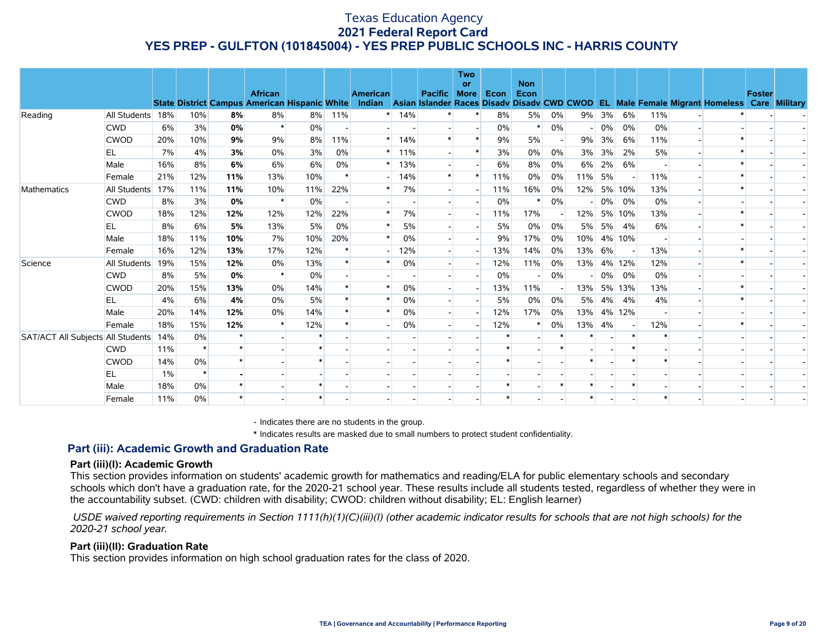|                                   |                  |     |        |     |                                                      |        |        |                 |     |                | <b>Two</b><br>or         |      | <b>Non</b>   |       |     |    |        |       |                                                                                    |        |               |
|-----------------------------------|------------------|-----|--------|-----|------------------------------------------------------|--------|--------|-----------------|-----|----------------|--------------------------|------|--------------|-------|-----|----|--------|-------|------------------------------------------------------------------------------------|--------|---------------|
|                                   |                  |     |        |     | <b>African</b>                                       |        |        | <b>American</b> |     | <b>Pacific</b> | <b>More</b>              | Econ | Econ         |       |     |    |        |       |                                                                                    | Foster |               |
|                                   |                  |     |        |     | <b>State District Campus American Hispanic White</b> |        |        |                 |     |                |                          |      |              |       |     |    |        |       | Indian Asian Islander Races Disady Disady CWD CWOD EL Male Female Migrant Homeless |        | Care Military |
| Reading                           | All Students 18% |     | 10%    | 8%  | 8%<br>$\ast$                                         | 8%     | 11%    | $*$             | 14% |                |                          | 8%   | 5%<br>$\ast$ | 0%    | 9%  | 3% | 6%     | 11%   |                                                                                    |        |               |
|                                   | <b>CWD</b>       | 6%  | 3%     | 0%  |                                                      | 0%     |        |                 |     |                | $\ast$                   | 0%   |              | 0%    |     | 0% | 0%     | 0%    |                                                                                    |        |               |
|                                   | <b>CWOD</b>      | 20% | 10%    | 9%  | 9%                                                   | 8%     | 11%    | $\ast$          | 14% |                | $\ast$                   | 9%   | 5%           |       | 9%  | 3% | 6%     | 11%   |                                                                                    |        |               |
|                                   | EL.              | 7%  | 4%     | 3%  | 0%                                                   | 3%     | 0%     |                 | 11% |                |                          | 3%   | 0%           | 0%    | 3%  | 3% | 2%     | 5%    |                                                                                    |        |               |
|                                   | Male             | 16% | 8%     | 6%  | 6%                                                   | 6%     | 0%     |                 | 13% |                |                          | 6%   | 8%           | 0%    | 6%  | 2% | 6%     |       |                                                                                    |        |               |
|                                   | Female           | 21% | 12%    | 11% | 13%                                                  | 10%    | $\ast$ |                 | 14% | $\ast$         | $\ast$                   | 11%  | $0\%$        | 0%    | 11% | 5% |        | 11%   |                                                                                    |        |               |
| Mathematics                       | All Students 17% |     | 11%    | 11% | 10%                                                  | 11%    | 22%    |                 | 7%  |                |                          | 11%  | 16%          | 0%    | 12% |    | 5% 10% | 13%   |                                                                                    |        |               |
|                                   | <b>CWD</b>       | 8%  | 3%     | 0%  | $\ast$                                               | 0%     |        |                 |     |                |                          | 0%   | $\ast$       | $0\%$ |     | 0% | 0%     | 0%    |                                                                                    |        |               |
|                                   | <b>CWOD</b>      | 18% | 12%    | 12% | 12%                                                  | 12%    | 22%    |                 | 7%  |                |                          | 11%  | 17%          |       | 12% |    | 5% 10% | 13%   |                                                                                    |        |               |
|                                   | EL               | 8%  | 6%     | 5%  | 13%                                                  | 5%     | 0%     | $\ast$          | 5%  |                |                          | 5%   | 0%           | 0%    | 5%  | 5% | 4%     | 6%    |                                                                                    |        |               |
|                                   | Male             | 18% | 11%    | 10% | 7%                                                   | 10%    | 20%    |                 | 0%  |                |                          | 9%   | 17%          | 0%    | 10% |    | 4% 10% |       |                                                                                    |        |               |
|                                   | Female           | 16% | 12%    | 13% | 17%                                                  | 12%    |        |                 | 12% |                |                          | 13%  | 14%          | 0%    | 13% | 6% |        | 13%   |                                                                                    |        |               |
| Science                           | All Students     | 19% | 15%    | 12% | 0%                                                   | 13%    |        |                 | 0%  |                |                          | 12%  | 11%          | 0%    | 13% |    | 4% 12% | 12%   |                                                                                    |        |               |
|                                   | <b>CWD</b>       | 8%  | 5%     | 0%  | $\ast$                                               | 0%     |        |                 |     |                |                          | 0%   |              | $0\%$ |     |    | 0% 0%  | $0\%$ |                                                                                    |        |               |
|                                   | <b>CWOD</b>      | 20% | 15%    | 13% | 0%                                                   | 14%    |        |                 | 0%  |                |                          | 13%  | 11%          |       | 13% |    | 5% 13% | 13%   |                                                                                    |        |               |
|                                   | EL               | 4%  | 6%     | 4%  | 0%                                                   | 5%     |        |                 | 0%  |                |                          | 5%   | 0%           | 0%    | 5%  | 4% | 4%     | 4%    |                                                                                    |        |               |
|                                   | Male             | 20% | 14%    | 12% | 0%                                                   | 14%    |        | $\ast$          | 0%  |                | $\overline{\phantom{a}}$ | 12%  | 17%          | 0%    | 13% |    | 4% 12% |       |                                                                                    |        |               |
|                                   | Female           | 18% | 15%    | 12% |                                                      | 12%    |        |                 | 0%  |                |                          | 12%  | ∗            | 0%    | 13% | 4% |        | 12%   |                                                                                    |        |               |
| SAT/ACT All Subjects All Students |                  | 14% | 0%     |     |                                                      |        |        |                 |     |                |                          |      |              |       |     |    |        |       |                                                                                    |        |               |
|                                   | <b>CWD</b>       | 11% | $\ast$ | ÷   |                                                      |        |        |                 |     |                |                          |      |              |       |     |    |        |       |                                                                                    |        |               |
|                                   | <b>CWOD</b>      | 14% | $0\%$  |     |                                                      | $\ast$ |        |                 |     |                |                          |      |              |       |     |    |        |       |                                                                                    |        |               |
|                                   | EL               | 1%  | $\ast$ |     |                                                      |        |        |                 |     |                |                          |      |              |       |     |    |        |       |                                                                                    |        |               |
|                                   | Male             | 18% | 0%     |     |                                                      |        |        |                 |     |                |                          |      |              |       |     |    |        |       |                                                                                    |        |               |
|                                   | Female           | 11% | 0%     |     |                                                      |        |        |                 |     |                |                          |      |              |       |     |    |        |       |                                                                                    |        |               |

- Indicates there are no students in the group.

\* Indicates results are masked due to small numbers to protect student confidentiality.

#### **Part (iii): Academic Growth and Graduation Rate**

#### **Part (iii)(I): Academic Growth**

This section provides information on students' academic growth for mathematics and reading/ELA for public elementary schools and secondary schools which don't have a graduation rate, for the 2020-21 school year. These results include all students tested, regardless of whether they were in the accountability subset. (CWD: children with disability; CWOD: children without disability; EL: English learner)

 *USDE waived reporting requirements in Section 1111(h)(1)(C)(iii)(I) (other academic indicator results for schools that are not high schools) for the 2020-21 school year.*

#### **Part (iii)(II): Graduation Rate**

This section provides information on high school graduation rates for the class of 2020.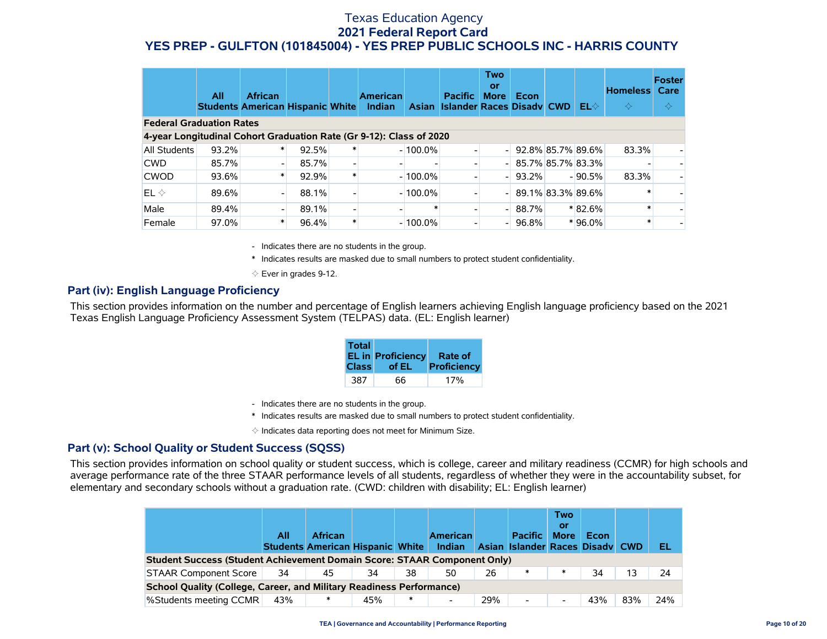|                                                                     | All   | <b>African</b><br><b>Students American Hispanic White</b> |       | <b>American</b><br>Indian |            | <b>Pacific</b><br>Asian Islander Races Disady CWD | <b>Two</b><br>or<br><b>More</b> | Econ              | $EL \diamondsuit$ | <b>Homeless</b><br>$\Leftrightarrow$ | <b>Foster</b><br>Care<br>$\Leftrightarrow$ |
|---------------------------------------------------------------------|-------|-----------------------------------------------------------|-------|---------------------------|------------|---------------------------------------------------|---------------------------------|-------------------|-------------------|--------------------------------------|--------------------------------------------|
| <b>Federal Graduation Rates</b>                                     |       |                                                           |       |                           |            |                                                   |                                 |                   |                   |                                      |                                            |
| 4-year Longitudinal Cohort Graduation Rate (Gr 9-12): Class of 2020 |       |                                                           |       |                           |            |                                                   |                                 |                   |                   |                                      |                                            |
| <b>All Students</b>                                                 | 93.2% |                                                           | 92.5% |                           | $-100.0\%$ |                                                   |                                 | 92.8% 85.7% 89.6% |                   | 83.3%                                |                                            |
| <b>CWD</b>                                                          | 85.7% |                                                           | 85.7% |                           |            |                                                   |                                 | 85.7% 85.7% 83.3% |                   |                                      |                                            |
| <b>CWOD</b>                                                         | 93.6% |                                                           | 92.9% |                           | $-100.0\%$ |                                                   |                                 | $93.2\%$          | $-90.5%$          | 83.3%                                |                                            |
| $EL \diamondsuit$                                                   | 89.6% |                                                           | 88.1% |                           | $-100.0\%$ |                                                   |                                 | 89.1% 83.3% 89.6% |                   |                                      |                                            |
| Male                                                                | 89.4% |                                                           | 89.1% |                           | *          |                                                   |                                 | 88.7%             | $*82.6%$          |                                      |                                            |
| Female                                                              | 97.0% |                                                           | 96.4% |                           | $-100.0\%$ |                                                   |                                 | 96.8%             | $*96.0\%$         |                                      |                                            |

- Indicates there are no students in the group.

\* Indicates results are masked due to small numbers to protect student confidentiality.

 $\diamond$  Ever in grades 9-12.

#### **Part (iv): English Language Proficiency**

This section provides information on the number and percentage of English learners achieving English language proficiency based on the 2021 Texas English Language Proficiency Assessment System (TELPAS) data. (EL: English learner)

| <b>Total</b> | <b>EL in Proficiency</b><br>Class of EL | Rate of<br>Proficiency |
|--------------|-----------------------------------------|------------------------|
| 387          | 66                                      | 17%                    |

- Indicates there are no students in the group.
- \* Indicates results are masked due to small numbers to protect student confidentiality.

 $\diamond$  Indicates data reporting does not meet for Minimum Size.

#### **Part (v): School Quality or Student Success (SQSS)**

This section provides information on school quality or student success, which is college, career and military readiness (CCMR) for high schools and average performance rate of the three STAAR performance levels of all students, regardless of whether they were in the accountability subset, for elementary and secondary schools without a graduation rate. (CWD: children with disability; EL: English learner)

|                                                                             | All | <b>African</b><br><b>Students American Hispanic White</b> |     |        | <b>American</b><br>Indian |     | <b>Pacific</b><br>Asian Islander Races Disady CWD | <b>Two</b><br>or<br><b>More</b> | Econ |     | EL  |
|-----------------------------------------------------------------------------|-----|-----------------------------------------------------------|-----|--------|---------------------------|-----|---------------------------------------------------|---------------------------------|------|-----|-----|
| Student Success (Student Achievement Domain Score: STAAR Component Only)    |     |                                                           |     |        |                           |     |                                                   |                                 |      |     |     |
| <b>STAAR Component Score</b>                                                | 34  | 45                                                        | 34  | 38     | 50                        | 26  | ∗                                                 | $\ast$                          | 34   | 13  | 24  |
| <b>School Quality (College, Career, and Military Readiness Performance)</b> |     |                                                           |     |        |                           |     |                                                   |                                 |      |     |     |
| %Students meeting CCMR                                                      | 43% | $\ast$                                                    | 45% | $\ast$ |                           | 29% | -                                                 |                                 | 43%  | 83% | 24% |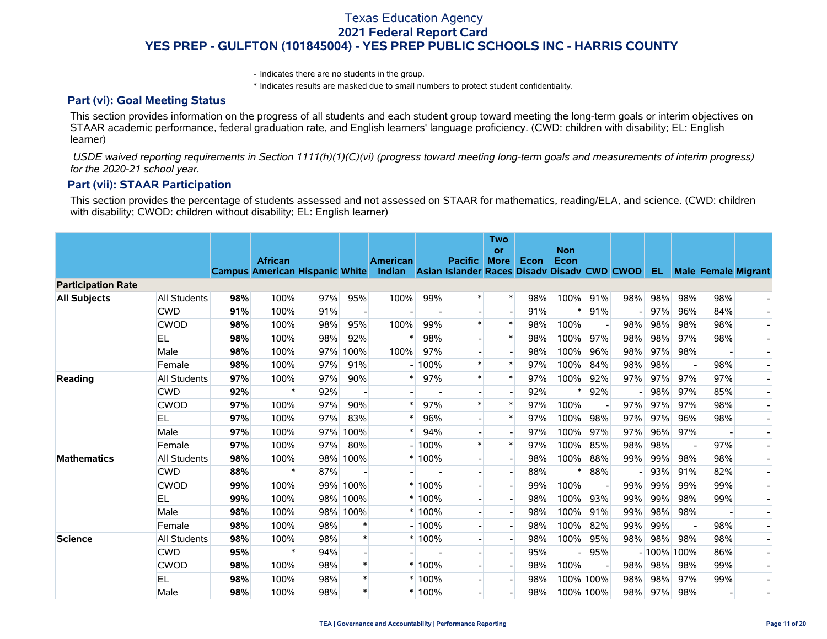- Indicates there are no students in the group.

\* Indicates results are masked due to small numbers to protect student confidentiality.

#### **Part (vi): Goal Meeting Status**

This section provides information on the progress of all students and each student group toward meeting the long-term goals or interim objectives on STAAR academic performance, federal graduation rate, and English learners' language proficiency. (CWD: children with disability; EL: English learner)

 *USDE waived reporting requirements in Section 1111(h)(1)(C)(vi) (progress toward meeting long-term goals and measurements of interim progress) for the 2020-21 school year.*

#### **Part (vii): STAAR Participation**

This section provides the percentage of students assessed and not assessed on STAAR for mathematics, reading/ELA, and science. (CWD: children with disability; CWOD: children without disability; EL: English learner)

|                           |                     |     |                                                         |     |          |                                                                       |          |                | <b>Two</b><br>or         |      | <b>Non</b> |           |     |               |                          |                            |                |
|---------------------------|---------------------|-----|---------------------------------------------------------|-----|----------|-----------------------------------------------------------------------|----------|----------------|--------------------------|------|------------|-----------|-----|---------------|--------------------------|----------------------------|----------------|
|                           |                     |     | <b>African</b><br><b>Campus American Hispanic White</b> |     |          | <b>American</b><br>Indian Asian Islander Races Disady Disady CWD CWOD |          | <b>Pacific</b> | <b>More</b>              | Econ | Econ       |           |     | -EL-          |                          | <b>Male Female Migrant</b> |                |
| <b>Participation Rate</b> |                     |     |                                                         |     |          |                                                                       |          |                |                          |      |            |           |     |               |                          |                            |                |
| <b>All Subjects</b>       | <b>All Students</b> | 98% | 100%                                                    | 97% | 95%      | 100%                                                                  | 99%      | $\ast$         | $\ast$                   | 98%  | 100%       | 91%       | 98% | 98%           | 98%                      | 98%                        |                |
|                           | <b>CWD</b>          | 91% | 100%                                                    | 91% |          |                                                                       |          |                |                          | 91%  |            | 91%       |     | 97%           | 96%                      | 84%                        |                |
|                           | <b>CWOD</b>         | 98% | 100%                                                    | 98% | 95%      | 100%                                                                  | 99%      | $\ast$         | $\ast$                   | 98%  | 100%       |           | 98% | 98%           | 98%                      | 98%                        |                |
|                           | EL                  | 98% | 100%                                                    | 98% | 92%      | $\ast$                                                                | 98%      |                | $\ast$                   | 98%  | 100%       | 97%       | 98% | 98%           | 97%                      | 98%                        |                |
|                           | Male                | 98% | 100%                                                    | 97% | 100%     | 100%                                                                  | 97%      |                | $\overline{\phantom{a}}$ | 98%  | 100%       | 96%       | 98% | 97%           | 98%                      |                            |                |
|                           | Female              | 98% | 100%                                                    | 97% | 91%      |                                                                       | $-100%$  | $\ast$         | $\ast$                   | 97%  | 100%       | 84%       | 98% | 98%           |                          | 98%                        |                |
| Reading                   | <b>All Students</b> | 97% | 100%                                                    | 97% | 90%      | $\ast$                                                                | 97%      | $\ast$         | $\ast$                   | 97%  | 100%       | 92%       | 97% | 97%           | 97%                      | 97%                        |                |
|                           | <b>CWD</b>          | 92% | $\ast$                                                  | 92% |          |                                                                       |          |                |                          | 92%  | $\ast$     | 92%       |     | 98%           | 97%                      | 85%                        |                |
|                           | <b>CWOD</b>         | 97% | 100%                                                    | 97% | 90%      | $\ast$                                                                | 97%      | $\ast$         | $\ast$                   | 97%  | 100%       |           | 97% | 97%           | 97%                      | 98%                        |                |
|                           | EL                  | 97% | 100%                                                    | 97% | 83%      | $\ast$                                                                | 96%      |                | $\ast$                   | 97%  | 100%       | 98%       | 97% | 97%           | 96%                      | 98%                        |                |
|                           | Male                | 97% | 100%                                                    | 97% | 100%     | $\ast$                                                                | 94%      |                |                          | 97%  | 100%       | 97%       | 97% | 96%           | 97%                      |                            |                |
|                           | Female              | 97% | 100%                                                    | 97% | 80%      |                                                                       | $-100%$  | $\ast$         | $\ast$                   | 97%  | 100%       | 85%       | 98% | 98%           | $\overline{\phantom{a}}$ | 97%                        |                |
| <b>Mathematics</b>        | <b>All Students</b> | 98% | 100%                                                    | 98% | 100%     |                                                                       | $*100%$  |                |                          | 98%  | 100%       | 88%       | 99% | 99%           | 98%                      | 98%                        |                |
|                           | <b>CWD</b>          | 88% | $\ast$                                                  | 87% |          |                                                                       |          |                | $\overline{\phantom{a}}$ | 88%  | $\ast$     | 88%       |     | 93%           | 91%                      | 82%                        |                |
|                           | <b>CWOD</b>         | 99% | 100%                                                    | 99% | 100%     |                                                                       | $*100%$  |                |                          | 99%  | 100%       |           | 99% | 99%           | 99%                      | 99%                        |                |
|                           | EL                  | 99% | 100%                                                    |     | 98% 100% |                                                                       | $*100%$  |                | $\overline{\phantom{a}}$ | 98%  | 100%       | 93%       | 99% | 99%           | 98%                      | 99%                        |                |
|                           | Male                | 98% | 100%                                                    |     | 98% 100% |                                                                       | $*100%$  |                |                          | 98%  | 100%       | 91%       | 99% | 98%           | 98%                      |                            |                |
|                           | Female              | 98% | 100%                                                    | 98% |          |                                                                       | $-100%$  |                |                          | 98%  | 100%       | 82%       | 99% | 99%           |                          | 98%                        |                |
| <b>Science</b>            | All Students        | 98% | 100%                                                    | 98% | $\ast$   |                                                                       | $*100%$  |                | $\overline{\phantom{a}}$ | 98%  | 100%       | 95%       | 98% | 98%           | 98%                      | 98%                        | $\blacksquare$ |
|                           | <b>CWD</b>          | 95% |                                                         | 94% |          |                                                                       |          |                |                          | 95%  |            | 95%       |     | $-100\%$ 100% |                          | 86%                        |                |
|                           | <b>CWOD</b>         | 98% | 100%                                                    | 98% | $\ast$   |                                                                       | $*100%$  |                |                          | 98%  | 100%       |           | 98% | 98%           | 98%                      | 99%                        |                |
|                           | EL                  | 98% | 100%                                                    | 98% | $\ast$   |                                                                       | $*100%$  |                |                          | 98%  |            | 100% 100% | 98% | 98%           | 97%                      | 99%                        |                |
|                           | Male                | 98% | 100%                                                    | 98% | $\ast$   |                                                                       | $*100\%$ |                |                          | 98%  | 100% 100%  |           | 98% | 97%           | 98%                      |                            |                |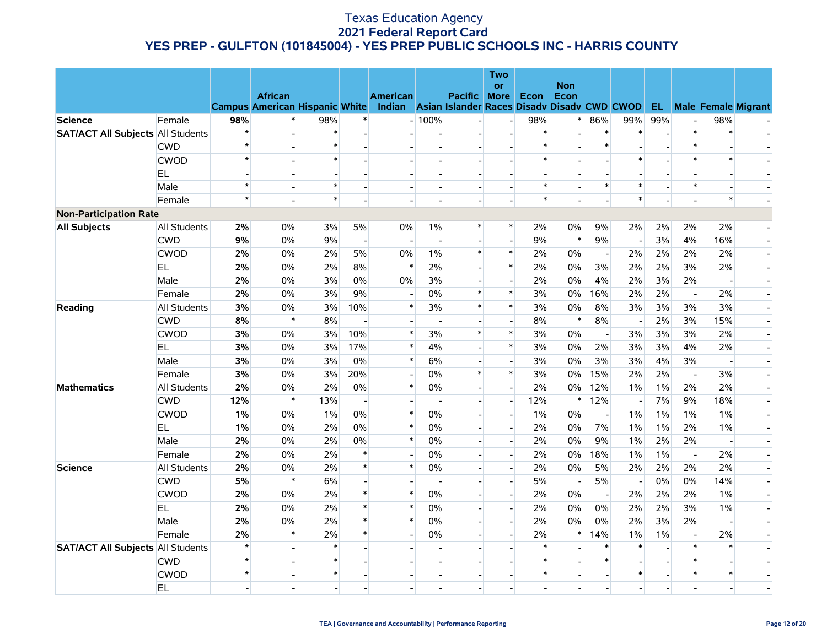|                                          |                     |                |                                       |        |                          |                                                    |                |                          | <b>Two</b><br><b>or</b> |                | <b>Non</b>        |                          |                          |                |                          |                |                               |
|------------------------------------------|---------------------|----------------|---------------------------------------|--------|--------------------------|----------------------------------------------------|----------------|--------------------------|-------------------------|----------------|-------------------|--------------------------|--------------------------|----------------|--------------------------|----------------|-------------------------------|
|                                          |                     |                | <b>African</b>                        |        |                          | <b>American</b>                                    |                | <b>Pacific</b>           | <b>More</b>             | <b>Econ</b>    | Econ              |                          |                          |                |                          |                |                               |
|                                          |                     |                | <b>Campus American Hispanic White</b> |        |                          | Indian Asian Islander Races Disady Disady CWD CWOD |                |                          |                         |                |                   |                          |                          |                |                          |                | <b>EL</b> Male Female Migrant |
| <b>Science</b>                           | Female              | 98%            | $\ast$                                | 98%    | $\ast$                   |                                                    | $-100%$        |                          |                         | 98%            | $\ast$            | 86%                      | 99%                      | 99%            | $\overline{a}$           | 98%            |                               |
| <b>SAT/ACT All Subjects All Students</b> |                     | $\star$        |                                       | $\ast$ | $\overline{a}$           | $\overline{a}$                                     | $\blacksquare$ | $\overline{\phantom{0}}$ |                         | $\ast$         |                   | $\ast$                   | $\ast$                   |                | $\ast$                   | $\ast$         |                               |
|                                          | <b>CWD</b>          | $\star$        |                                       | $\ast$ |                          |                                                    | $\blacksquare$ | $\blacksquare$           |                         | $\ast$         |                   | $\ast$                   |                          |                | $\ast$                   |                |                               |
|                                          | <b>CWOD</b>         | $\star$        |                                       | $\ast$ |                          |                                                    | $\blacksquare$ | $\overline{\phantom{0}}$ |                         | $\ast$         |                   |                          | $\ast$                   |                | $\ast$                   | $\ast$         |                               |
|                                          | <b>EL</b>           |                |                                       |        |                          |                                                    |                |                          |                         |                |                   |                          |                          |                | $\blacksquare$           |                |                               |
|                                          | Male                | $\star$        |                                       |        |                          |                                                    |                | $\overline{a}$           |                         | $\ast$         | $\overline{a}$    | $\ast$                   | $\ast$                   |                | $\ast$                   |                |                               |
|                                          | Female              | $\star$        |                                       | $\ast$ |                          |                                                    | $\overline{a}$ | $\overline{a}$           |                         | $\ast$         |                   |                          | $\ast$                   |                |                          | $\ast$         |                               |
| <b>Non-Participation Rate</b>            |                     |                |                                       |        |                          |                                                    |                |                          |                         |                |                   |                          |                          |                |                          |                |                               |
| <b>All Subjects</b>                      | <b>All Students</b> | 2%             | 0%                                    | 3%     | 5%                       | 0%                                                 | $1\%$          | $\ast$                   | $\ast$                  | 2%             | $0\%$             | 9%                       | 2%                       | 2%             | 2%                       | 2%             |                               |
|                                          | <b>CWD</b>          | 9%             | 0%                                    | 9%     | $\blacksquare$           |                                                    |                |                          |                         | 9%             | $\ast$            | 9%                       |                          | 3%             | 4%                       | 16%            |                               |
|                                          | <b>CWOD</b>         | 2%             | 0%                                    | 2%     | 5%                       | 0%                                                 | $1\%$          | $\ast$                   | $\ast$                  | 2%             | 0%                | $\blacksquare$           | 2%                       | 2%             | 2%                       | 2%             |                               |
|                                          | EL.                 | 2%             | 0%                                    | 2%     | 8%                       | $\ast$                                             | 2%             | $\overline{\phantom{a}}$ | $\ast$                  | 2%             | 0%                | 3%                       | 2%                       | 2%             | 3%                       | 2%             |                               |
|                                          | Male                | 2%             | $0\%$                                 | 3%     | 0%                       | 0%                                                 | 3%             | $\overline{\phantom{0}}$ |                         | 2%             | $0\%$             | 4%                       | 2%                       | 3%             | 2%                       | $\blacksquare$ |                               |
|                                          | Female              | 2%             | $0\%$                                 | 3%     | 9%                       | $\overline{a}$                                     | 0%             | $\ast$                   | $\ast$                  | 3%             | $0\%$             | 16%                      | 2%                       | 2%             | $\overline{a}$           | 2%             |                               |
| Reading                                  | All Students        | 3%             | $0\%$                                 | 3%     | 10%                      | $\ast$                                             | 3%             | $\ast$                   | $\ast$                  | 3%             | 0%                | 8%                       | 3%                       | 3%             | 3%                       | 3%             |                               |
|                                          | <b>CWD</b>          | 8%             | $\ast$                                | 8%     | $\overline{a}$           |                                                    | $\overline{a}$ |                          |                         | 8%             | $\pmb{\ast}$      | 8%                       | $\sim$                   | 2%             | 3%                       | 15%            |                               |
|                                          | <b>CWOD</b>         | 3%             | 0%                                    | 3%     | 10%                      | $\ast$                                             | 3%             | $\ast$                   | $\ast$                  | 3%             | $0\%$             | $\overline{\phantom{a}}$ | 3%                       | 3%             | 3%                       | 2%             |                               |
|                                          | EL.                 | 3%             | $0\%$                                 | 3%     | 17%                      | $\ast$                                             | 4%             | $\overline{\phantom{a}}$ | $\ast$                  | 3%             | $0\%$             | $2\%$                    | 3%                       | 3%             | 4%                       | 2%             |                               |
|                                          | Male                | 3%             | 0%                                    | 3%     | 0%                       | $\ast$                                             | 6%             | $\overline{a}$           |                         | 3%             | 0%                | 3%                       | 3%                       | 4%             | 3%                       |                |                               |
|                                          | Female              | 3%             | 0%                                    | 3%     | 20%                      |                                                    | 0%             | $\ast$                   | $\ast$                  | 3%             | $0\%$             | 15%                      | 2%                       | 2%             | $\overline{a}$           | 3%             |                               |
| <b>Mathematics</b>                       | All Students        | 2%             | $0\%$                                 | 2%     | 0%                       | $\ast$                                             | 0%             | $\overline{a}$           |                         | 2%             | $0\%$             | 12%                      | 1%                       | 1%             | 2%                       | 2%             |                               |
|                                          | <b>CWD</b>          | 12%            | $\ast$                                | 13%    | $\sim$                   |                                                    | $\overline{a}$ | $\overline{\phantom{a}}$ | $\sim$                  | 12%            | $\ast$            | 12%                      | $\overline{\phantom{a}}$ | 7%             | 9%                       | 18%            |                               |
|                                          | <b>CWOD</b>         | 1%             | $0\%$                                 | $1\%$  | 0%                       | $\ast$                                             | $0\%$          | $\overline{a}$           |                         | 1%             | $0\%$             | $\overline{\phantom{a}}$ | 1%                       | 1%             | 1%                       | 1%             |                               |
|                                          | EL.                 | 1%             | $0\%$                                 | 2%     | 0%                       | $\ast$                                             | $0\%$          | $\overline{a}$           |                         | 2%             | 0%                | 7%                       | $1\%$                    | 1%             | 2%                       | 1%             |                               |
|                                          | Male                | 2%             | $0\%$                                 | 2%     | 0%                       | $\ast$                                             | $0\%$          |                          |                         | 2%             | 0%                | 9%                       | 1%                       | 2%             | 2%                       |                |                               |
|                                          | Female              | 2%             | 0%                                    | 2%     | $\ast$                   |                                                    | 0%             | $\overline{\phantom{a}}$ |                         | 2%             | $0\%$             | 18%                      | 1%                       | 1%             | $\overline{\phantom{a}}$ | 2%             |                               |
| <b>Science</b>                           | All Students        | 2%             | $0\%$                                 | 2%     | $\ast$                   | $\ast$                                             | $0\%$          | $\overline{\phantom{a}}$ |                         | 2%             | 0%                | 5%                       | 2%                       | 2%             | 2%                       | 2%             |                               |
|                                          | <b>CWD</b>          | 5%             | $\ast$                                | 6%     | $\overline{\phantom{a}}$ |                                                    |                | $\overline{a}$           |                         | 5%             | $\overline{a}$    | 5%                       | $\overline{\phantom{a}}$ | 0%             | 0%                       | 14%            |                               |
|                                          | <b>CWOD</b>         | 2%             | $0\%$                                 | 2%     | $\ast$                   | $\ast$                                             | 0%             |                          |                         | 2%             | $0\%$             | $\overline{\phantom{a}}$ | 2%                       | 2%             | 2%                       | 1%             |                               |
|                                          | <b>EL</b>           | 2%             | $0\%$                                 | 2%     | $\ast$                   | $\ast$                                             | 0%             |                          |                         | 2%             | $0\%$             | 0%                       | 2%                       | 2%             | 3%                       | 1%             |                               |
|                                          | Male                | 2%             | 0%                                    | 2%     | $\ast$                   | $\ast$                                             | 0%             | $\overline{\phantom{a}}$ | $\overline{a}$          | 2%             | 0%                | 0%                       | 2%                       | 3%             | 2%                       | $\blacksquare$ |                               |
|                                          | Female              | 2%             | $\ast$                                | 2%     | $\ast$                   | $\overline{\phantom{a}}$                           | $0\%$          | $\overline{\phantom{0}}$ |                         | 2%             | $\ast$            | 14%                      | $1\%$                    | $1\%$          | $\overline{a}$           | 2%             |                               |
| <b>SAT/ACT All Subjects All Students</b> |                     | $\star$        |                                       | $\ast$ |                          |                                                    |                | $\overline{\phantom{0}}$ |                         | $\ast$         |                   | $\ast$                   | $\ast$                   |                | $\ast$                   | $\ast$         |                               |
|                                          | <b>CWD</b>          | $\star$        |                                       |        |                          |                                                    |                |                          |                         | $\ast$         |                   | $\ast$                   |                          |                | $\ast$                   |                |                               |
|                                          | <b>CWOD</b>         | $\star$        |                                       | $\ast$ |                          |                                                    |                |                          |                         | $\ast$         | $\qquad \qquad -$ |                          | $\ast$                   |                | $\ast$                   | $\ast$         |                               |
|                                          | <b>EL</b>           | $\blacksquare$ |                                       |        | $\overline{a}$           |                                                    | $\overline{a}$ | $\overline{\phantom{a}}$ |                         | $\overline{a}$ | $\overline{a}$    |                          |                          | $\overline{a}$ | $\overline{a}$           |                |                               |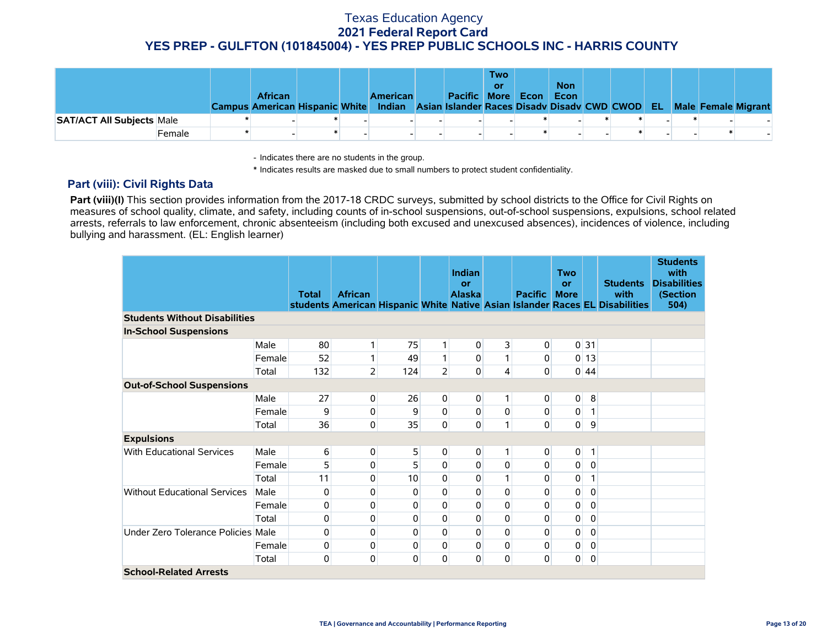|                                  |        | <b>African</b><br><b>Campus American Hispanic White</b> |  | <b>American</b><br>Indian Asian Islander Races Disady Disady CWD CWOD EL | Pacific More | <b>Two</b><br>or | Econ | <b>Non</b><br>Econ |  |  | <b>Male Female Migrant</b> |
|----------------------------------|--------|---------------------------------------------------------|--|--------------------------------------------------------------------------|--------------|------------------|------|--------------------|--|--|----------------------------|
| <b>SAT/ACT All Subjects Male</b> |        |                                                         |  |                                                                          |              |                  |      |                    |  |  |                            |
|                                  | Female |                                                         |  |                                                                          |              |                  |      |                    |  |  |                            |

- Indicates there are no students in the group.

\* Indicates results are masked due to small numbers to protect student confidentiality.

#### **Part (viii): Civil Rights Data**

Part (viii)(I) This section provides information from the 2017-18 CRDC surveys, submitted by school districts to the Office for Civil Rights on measures of school quality, climate, and safety, including counts of in-school suspensions, out-of-school suspensions, expulsions, school related arrests, referrals to law enforcement, chronic absenteeism (including both excused and unexcused absences), incidences of violence, including bullying and harassment. (EL: English learner)

|                                      |        | <b>Total</b>     | <b>African</b> |     |                | <b>Indian</b><br>or<br><b>Alaska</b> |                | <b>Pacific</b> | <b>Two</b><br><b>or</b><br><b>More</b> |                 | <b>Students</b><br>with<br>students American Hispanic White Native Asian Islander Races EL Disabilities | <b>Students</b><br>with<br><b>Disabilities</b><br>(Section<br>504) |
|--------------------------------------|--------|------------------|----------------|-----|----------------|--------------------------------------|----------------|----------------|----------------------------------------|-----------------|---------------------------------------------------------------------------------------------------------|--------------------------------------------------------------------|
| <b>Students Without Disabilities</b> |        |                  |                |     |                |                                      |                |                |                                        |                 |                                                                                                         |                                                                    |
| <b>In-School Suspensions</b>         |        |                  |                |     |                |                                      |                |                |                                        |                 |                                                                                                         |                                                                    |
|                                      | Male   | 80               | 1              | 75  | 1              | 0                                    | 3              | 0              |                                        | 0 <sup>31</sup> |                                                                                                         |                                                                    |
|                                      | Female | 52               | 1              | 49  | 1              | 0                                    | 1              | 0              |                                        | $0$ 13          |                                                                                                         |                                                                    |
|                                      | Total  | 132              | $\overline{2}$ | 124 | $\overline{2}$ | 0                                    | $\overline{4}$ | 0              |                                        | 0 44            |                                                                                                         |                                                                    |
| <b>Out-of-School Suspensions</b>     |        |                  |                |     |                |                                      |                |                |                                        |                 |                                                                                                         |                                                                    |
|                                      | Male   | 27               | $\overline{0}$ | 26  | 0              | 0                                    | 1.             | 0              | 0                                      | $\bf 8$         |                                                                                                         |                                                                    |
|                                      | Female | 9                | $\overline{0}$ | 9   | $\mathbf 0$    | 0                                    | 0              | $\pmb{0}$      | $\pmb{0}$                              | $\mathbf{1}$    |                                                                                                         |                                                                    |
|                                      | Total  | 36               | 0              | 35  | $\mathbf 0$    | 0                                    | 1              | 0              | 0                                      | 9               |                                                                                                         |                                                                    |
| <b>Expulsions</b>                    |        |                  |                |     |                |                                      |                |                |                                        |                 |                                                                                                         |                                                                    |
| <b>With Educational Services</b>     | Male   | $6 \overline{6}$ | $\mathbf{0}$   | 5   | 0              | 0                                    |                | 0              | 0                                      | 1               |                                                                                                         |                                                                    |
|                                      | Female | 5                | 0              | 5   | $\Omega$       | 0                                    | 0              | 0              | $\mathbf 0$                            | $\pmb{0}$       |                                                                                                         |                                                                    |
|                                      | Total  | 11               | $\mathbf{0}$   | 10  | $\Omega$       | 0                                    |                | 0              | $\pmb{0}$                              | 1               |                                                                                                         |                                                                    |
| <b>Without Educational Services</b>  | Male   | 0                | 0              | 0   | $\Omega$       | $\mathbf 0$                          | $\Omega$       | 0              | 0                                      | $\mathbf 0$     |                                                                                                         |                                                                    |
|                                      | Female | 0                | 0              | 0   | $\mathbf 0$    | 0                                    | $\Omega$       | 0              | 0                                      | $\mathbf 0$     |                                                                                                         |                                                                    |
|                                      | Total  | 0                | 0              | 0   | $\Omega$       | 0                                    | $\Omega$       | 0              | 0                                      | $\mathbf 0$     |                                                                                                         |                                                                    |
| Under Zero Tolerance Policies Male   |        | 0                | $\pmb{0}$      | 0   | 0              | 0                                    | 0              | 0              | $\pmb{0}$                              | 0               |                                                                                                         |                                                                    |
|                                      | Female | 0                | 0              | 0   | $\Omega$       | 0                                    | 0              | 0              | 0                                      | $\mathbf 0$     |                                                                                                         |                                                                    |
|                                      | Total  | 0                | $\pmb{0}$      | 0   | 0              | 0                                    | 0              | 0              | 0                                      | $\pmb{0}$       |                                                                                                         |                                                                    |
| <b>School-Related Arrests</b>        |        |                  |                |     |                |                                      |                |                |                                        |                 |                                                                                                         |                                                                    |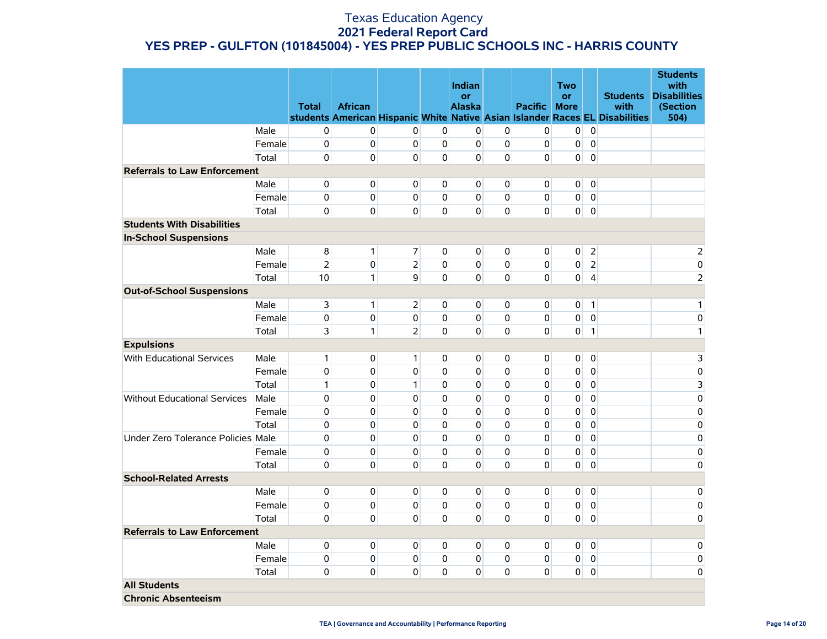|                                     |        |                |                |                |              | Indian                     |             |                | <b>Two</b>               |                |                                                                              | <b>Students</b><br>with         |
|-------------------------------------|--------|----------------|----------------|----------------|--------------|----------------------------|-------------|----------------|--------------------------|----------------|------------------------------------------------------------------------------|---------------------------------|
|                                     |        | <b>Total</b>   | <b>African</b> |                |              | <b>or</b><br><b>Alaska</b> |             | Pacific        | <b>or</b><br><b>More</b> |                | <b>Students</b><br>with                                                      | <b>Disabilities</b><br>(Section |
|                                     |        |                |                |                |              |                            |             |                |                          |                | students American Hispanic White Native Asian Islander Races EL Disabilities | 504)                            |
|                                     | Male   | 0              | $\mathbf{0}$   | $\Omega$       | $\mathbf 0$  | $\Omega$                   | $\mathbf 0$ | $\overline{0}$ | 0                        | $\mathbf 0$    |                                                                              |                                 |
|                                     | Female | 0              | $\mathbf 0$    | $\mathbf 0$    | 0            | $\mathbf 0$                | $\mathbf 0$ | $\overline{0}$ | 0                        | $\mathbf 0$    |                                                                              |                                 |
|                                     | Total  | $\mathbf 0$    | $\overline{0}$ | $\Omega$       | $\mathbf 0$  | $\Omega$                   | $\mathbf 0$ | $\overline{0}$ | $\overline{0}$           | $\mathbf 0$    |                                                                              |                                 |
| <b>Referrals to Law Enforcement</b> |        |                |                |                |              |                            |             |                |                          |                |                                                                              |                                 |
|                                     | Male   | 0              | $\overline{0}$ | $\Omega$       | $\mathbf 0$  | $\overline{0}$             | $\mathbf 0$ | $\overline{0}$ | $\overline{0}$           | $\mathbf 0$    |                                                                              |                                 |
|                                     | Female | 0              | $\Omega$       | $\Omega$       | $\mathbf 0$  | $\Omega$                   | $\Omega$    | $\Omega$       | $\overline{0}$           | $\mathbf{0}$   |                                                                              |                                 |
|                                     | Total  | 0              | 0              | $\overline{0}$ | $\mathbf 0$  | $\overline{0}$             | $\mathbf 0$ | $\mathbf 0$    | 0                        | $\pmb{0}$      |                                                                              |                                 |
| <b>Students With Disabilities</b>   |        |                |                |                |              |                            |             |                |                          |                |                                                                              |                                 |
| <b>In-School Suspensions</b>        |        |                |                |                |              |                            |             |                |                          |                |                                                                              |                                 |
|                                     | Male   | 8              | $\mathbf{1}$   | $\overline{7}$ | $\mathbf{0}$ | $\overline{0}$             | 0           | $\mathbf{0}$   | $\overline{0}$           | $\overline{2}$ |                                                                              | 2                               |
|                                     | Female | $\overline{2}$ | $\pmb{0}$      | $\overline{2}$ | 0            | $\overline{0}$             | $\mathbf 0$ | $\overline{0}$ | 0                        | $\overline{2}$ |                                                                              | 0                               |
|                                     | Total  | 10             | $\mathbf{1}$   | $\overline{9}$ | $\Omega$     | $\Omega$                   | $\mathbf 0$ | $\overline{0}$ | $\overline{0}$           | $\overline{4}$ |                                                                              | $\overline{2}$                  |
| <b>Out-of-School Suspensions</b>    |        |                |                |                |              |                            |             |                |                          |                |                                                                              |                                 |
|                                     | Male   | $\overline{3}$ | 1 <sup>1</sup> | $\overline{2}$ | 0            | $\overline{0}$             | 0           | $\overline{0}$ | 0                        | $\mathbf{1}$   |                                                                              | 1                               |
|                                     | Female | 0              | $\mathbf 0$    | 0              | $\mathbf 0$  | $\Omega$                   | $\mathbf 0$ | $\overline{0}$ | 0                        | $\mathbf 0$    |                                                                              | 0                               |
|                                     | Total  | 3              | $\mathbf{1}$   | $\overline{2}$ | 0            | $\mathbf 0$                | 0           | $\mathbf 0$    | 0                        | $\mathbf{1}$   |                                                                              | 1                               |
| <b>Expulsions</b>                   |        |                |                |                |              |                            |             |                |                          |                |                                                                              |                                 |
| <b>With Educational Services</b>    | Male   | 1              | $\overline{0}$ | 1              | 0            | $\overline{0}$             | 0           | $\overline{0}$ | 0                        | $\mathbf 0$    |                                                                              | 3                               |
|                                     | Female | 0              | $\mathbf{0}$   | $\Omega$       | $\mathbf 0$  | $\Omega$                   | 0           | $\Omega$       | 0                        | $\mathbf 0$    |                                                                              | 0                               |
|                                     | Total  | 1              | $\mathbf 0$    | $\mathbf{1}$   | $\mathbf 0$  | $\Omega$                   | $\mathbf 0$ | $\Omega$       | 0                        | 0              |                                                                              | 3                               |
| <b>Without Educational Services</b> | Male   | 0              | $\mathbf 0$    | 0              | $\mathbf 0$  | $\Omega$                   | $\mathbf 0$ | $\mathbf 0$    | $\pmb{0}$                | $\mathbf 0$    |                                                                              | $\mathbf 0$                     |
|                                     | Female | 0              | $\mathbf 0$    | 0              | $\mathbf 0$  | $\Omega$                   | 0           | $\mathbf 0$    | 0                        | $\mathbf 0$    |                                                                              | 0                               |
|                                     | Total  | 0              | $\mathbf 0$    | $\mathbf 0$    | $\mathbf 0$  | $\mathbf{0}$               | $\mathbf 0$ | $\Omega$       | 0                        | $\mathbf 0$    |                                                                              | 0                               |
| Under Zero Tolerance Policies Male  |        | 0              | $\Omega$       | $\mathbf 0$    | $\mathbf 0$  | $\Omega$                   | 0           | $\Omega$       | 0                        | $\pmb{0}$      |                                                                              | 0                               |
|                                     | Female | 0              | $\mathbf 0$    | 0              | 0            | $\mathbf 0$                | $\mathbf 0$ | $\mathbf 0$    | 0                        | $\pmb{0}$      |                                                                              | $\mathbf 0$                     |
|                                     | Total  | 0              | $\mathbf 0$    | $\Omega$       | $\mathbf 0$  | $\Omega$                   | 0           | $\overline{0}$ | $\overline{0}$           | $\pmb{0}$      |                                                                              | 0                               |
| <b>School-Related Arrests</b>       |        |                |                |                |              |                            |             |                |                          |                |                                                                              |                                 |
|                                     | Male   | 0              | $\mathbf 0$    | $\Omega$       | 0            | $\Omega$                   | 0           | $\overline{0}$ | $\mathbf 0$              | $\mathbf 0$    |                                                                              | $\mathbf 0$                     |
|                                     | Female | 0              | $\mathbf 0$    | $\overline{0}$ | $\pmb{0}$    | $\overline{0}$             | $\mathbf 0$ | $\overline{0}$ | $\overline{0}$           | 0              |                                                                              | 0                               |
|                                     | Total  | 0              | $\mathbf 0$    | $\Omega$       | $\Omega$     | $\Omega$                   | $\mathbf 0$ | $\overline{0}$ | $\overline{0}$           | $\mathbf 0$    |                                                                              | 0                               |
| <b>Referrals to Law Enforcement</b> |        |                |                |                |              |                            |             |                |                          |                |                                                                              |                                 |
|                                     | Male   | 0              | $\mathbf 0$    | $\overline{0}$ | 0            | $\overline{0}$             | 0           | $\overline{0}$ | $\overline{0}$           | $\mathbf 0$    |                                                                              | 0                               |
|                                     | Female | 0              | $\pmb{0}$      | $\Omega$       | $\Omega$     | $\mathbf 0$                | $\pmb{0}$   | $\overline{0}$ | 0                        | $\mathbf 0$    |                                                                              | $\mathbf 0$                     |
|                                     | Total  | 0              | $\mathbf{0}$   | $\overline{0}$ | 0            | $\overline{0}$             | 0           | $\overline{0}$ | $\overline{0}$           | $\pmb{0}$      |                                                                              | 0                               |
| <b>All Students</b>                 |        |                |                |                |              |                            |             |                |                          |                |                                                                              |                                 |
| <b>Chronic Absenteeism</b>          |        |                |                |                |              |                            |             |                |                          |                |                                                                              |                                 |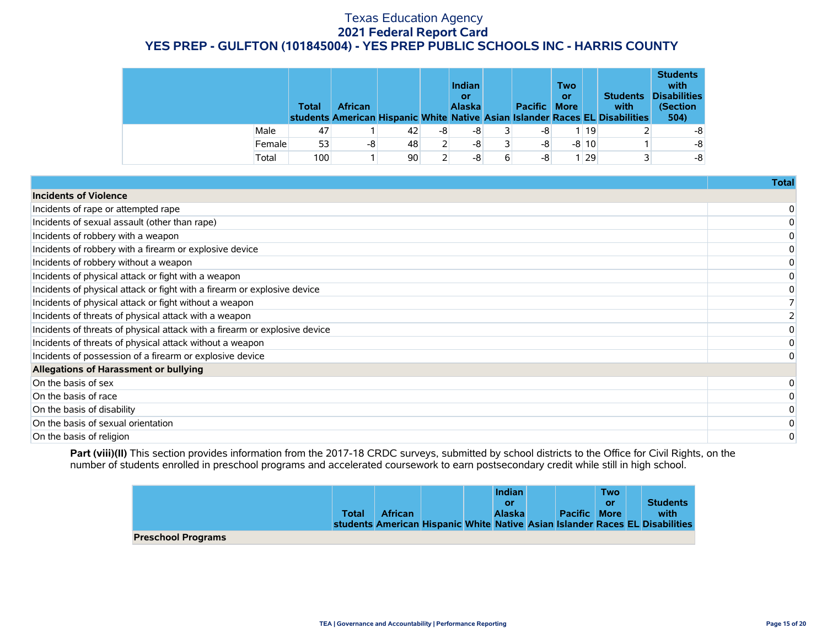|        | <b>Total</b> | <b>African</b> |    |    | <b>Indian</b><br>or<br>Alaska |   | Pacific More | <b>Two</b><br>or |         | <b>Students</b><br>with<br>students American Hispanic White Native Asian Islander Races EL Disabilities | <b>Students</b><br>with<br><b>Disabilities</b><br>(Section<br>504) |
|--------|--------------|----------------|----|----|-------------------------------|---|--------------|------------------|---------|---------------------------------------------------------------------------------------------------------|--------------------------------------------------------------------|
| Male   | 47           |                | 42 | -8 | -8                            |   | -8           |                  | II 19   |                                                                                                         | -8                                                                 |
| Female | 53           | -8             | 48 |    | -8                            |   | -8           |                  | $-8$ 10 |                                                                                                         | -8                                                                 |
| Total  | 100          |                | 90 |    | -8                            | 6 | -8           |                  | I 29    |                                                                                                         | -8                                                                 |

| <b>Incidents of Violence</b><br>Incidents of rape or attempted rape<br>Incidents of sexual assault (other than rape)<br>Incidents of robbery with a weapon<br>Incidents of robbery with a firearm or explosive device<br>Incidents of robbery without a weapon<br>Incidents of physical attack or fight with a weapon<br>Incidents of physical attack or fight with a firearm or explosive device<br>Incidents of physical attack or fight without a weapon<br>Incidents of threats of physical attack with a weapon<br>Incidents of threats of physical attack with a firearm or explosive device<br>Incidents of threats of physical attack without a weapon<br>Incidents of possession of a firearm or explosive device<br>Allegations of Harassment or bullying<br>On the basis of sex<br>On the basis of race<br>On the basis of disability<br>On the basis of sexual orientation<br>On the basis of religion | Total |
|--------------------------------------------------------------------------------------------------------------------------------------------------------------------------------------------------------------------------------------------------------------------------------------------------------------------------------------------------------------------------------------------------------------------------------------------------------------------------------------------------------------------------------------------------------------------------------------------------------------------------------------------------------------------------------------------------------------------------------------------------------------------------------------------------------------------------------------------------------------------------------------------------------------------|-------|
|                                                                                                                                                                                                                                                                                                                                                                                                                                                                                                                                                                                                                                                                                                                                                                                                                                                                                                                    |       |
|                                                                                                                                                                                                                                                                                                                                                                                                                                                                                                                                                                                                                                                                                                                                                                                                                                                                                                                    |       |
|                                                                                                                                                                                                                                                                                                                                                                                                                                                                                                                                                                                                                                                                                                                                                                                                                                                                                                                    |       |
|                                                                                                                                                                                                                                                                                                                                                                                                                                                                                                                                                                                                                                                                                                                                                                                                                                                                                                                    |       |
|                                                                                                                                                                                                                                                                                                                                                                                                                                                                                                                                                                                                                                                                                                                                                                                                                                                                                                                    |       |
|                                                                                                                                                                                                                                                                                                                                                                                                                                                                                                                                                                                                                                                                                                                                                                                                                                                                                                                    |       |
|                                                                                                                                                                                                                                                                                                                                                                                                                                                                                                                                                                                                                                                                                                                                                                                                                                                                                                                    |       |
|                                                                                                                                                                                                                                                                                                                                                                                                                                                                                                                                                                                                                                                                                                                                                                                                                                                                                                                    |       |
|                                                                                                                                                                                                                                                                                                                                                                                                                                                                                                                                                                                                                                                                                                                                                                                                                                                                                                                    |       |
|                                                                                                                                                                                                                                                                                                                                                                                                                                                                                                                                                                                                                                                                                                                                                                                                                                                                                                                    |       |
|                                                                                                                                                                                                                                                                                                                                                                                                                                                                                                                                                                                                                                                                                                                                                                                                                                                                                                                    |       |
|                                                                                                                                                                                                                                                                                                                                                                                                                                                                                                                                                                                                                                                                                                                                                                                                                                                                                                                    |       |
|                                                                                                                                                                                                                                                                                                                                                                                                                                                                                                                                                                                                                                                                                                                                                                                                                                                                                                                    |       |
|                                                                                                                                                                                                                                                                                                                                                                                                                                                                                                                                                                                                                                                                                                                                                                                                                                                                                                                    |       |
|                                                                                                                                                                                                                                                                                                                                                                                                                                                                                                                                                                                                                                                                                                                                                                                                                                                                                                                    |       |
|                                                                                                                                                                                                                                                                                                                                                                                                                                                                                                                                                                                                                                                                                                                                                                                                                                                                                                                    |       |
|                                                                                                                                                                                                                                                                                                                                                                                                                                                                                                                                                                                                                                                                                                                                                                                                                                                                                                                    |       |
|                                                                                                                                                                                                                                                                                                                                                                                                                                                                                                                                                                                                                                                                                                                                                                                                                                                                                                                    |       |
|                                                                                                                                                                                                                                                                                                                                                                                                                                                                                                                                                                                                                                                                                                                                                                                                                                                                                                                    |       |

Part (viii)(II) This section provides information from the 2017-18 CRDC surveys, submitted by school districts to the Office for Civil Rights, on the number of students enrolled in preschool programs and accelerated coursework to earn postsecondary credit while still in high school.

|                           |       |                |  | <b>Indian</b> |                     | Two |                                                                              |
|---------------------------|-------|----------------|--|---------------|---------------------|-----|------------------------------------------------------------------------------|
|                           |       |                |  | or            |                     | or  | <b>Students</b>                                                              |
|                           | Total | <b>African</b> |  | <b>Alaska</b> | <b>Pacific More</b> |     | with                                                                         |
|                           |       |                |  |               |                     |     | students American Hispanic White Native Asian Islander Races EL Disabilities |
| <b>Preschool Programs</b> |       |                |  |               |                     |     |                                                                              |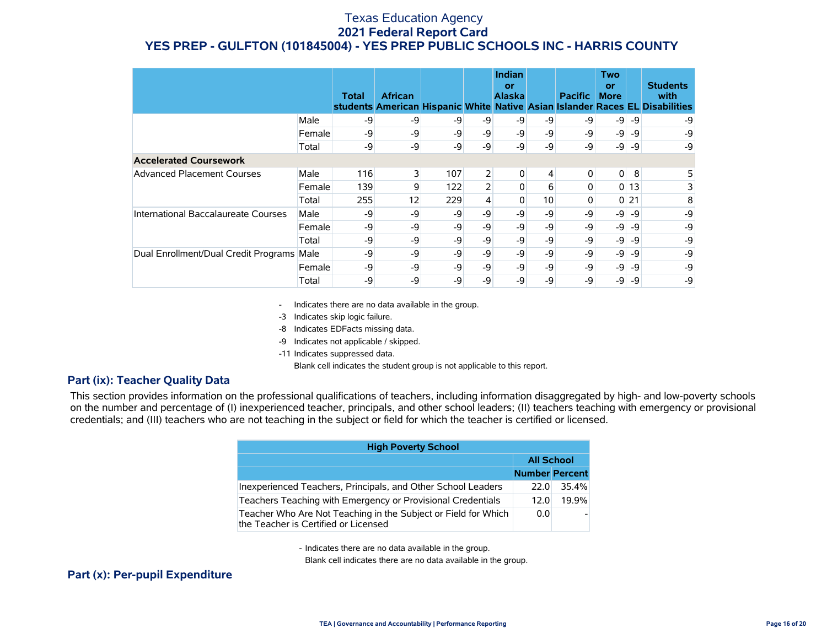|                                           |        | Total | <b>African</b> |      |                | Indian<br>or<br><b>Alaska</b> |                 | <b>Pacific</b> | <b>Two</b><br>or<br><b>More</b> |        | <b>Students</b><br>with<br>students American Hispanic White Native Asian Islander Races EL Disabilities |
|-------------------------------------------|--------|-------|----------------|------|----------------|-------------------------------|-----------------|----------------|---------------------------------|--------|---------------------------------------------------------------------------------------------------------|
|                                           | Male   | -9    | -9             | -9   | -9             | -9                            | -9              | -9             | $-9$                            | -9     | -9                                                                                                      |
|                                           | Female | -9    | -9             | $-9$ | $-9$           | -9                            | -9              | -9             | $-9$                            | -9     | -9                                                                                                      |
|                                           | Total  | -9    | -9             | -9   | $-9$           | -9                            | -9              | -9             | $-9$                            | -9     | $-9$                                                                                                    |
| <b>Accelerated Coursework</b>             |        |       |                |      |                |                               |                 |                |                                 |        |                                                                                                         |
| <b>Advanced Placement Courses</b>         | Male   | 116   | 3              | 107  | $\overline{2}$ | 0                             | $\overline{4}$  | 0              | $\overline{0}$                  | 8      | 5                                                                                                       |
|                                           | Female | 139   | 9              | 122  |                | 0                             | 6               | 0              |                                 | 013    | 3                                                                                                       |
|                                           | Total  | 255   | 12             | 229  | 4              | 0                             | 10 <sup>1</sup> |                |                                 | $0$ 21 | 8                                                                                                       |
| International Baccalaureate Courses       | Male   | -9    | -9             | -9   | $-9$           | -9                            | -9              | -9             | $-9$                            | -9     | -9                                                                                                      |
|                                           | Female | -9    | -9             | -9   | $-9$           | -9                            | -9              | -9             | $-9$                            | -9     | -9                                                                                                      |
|                                           | Total  | -9    | -9             | -9   | -9             | -9                            | -9              | -9             | $-9$                            | -9     | -9                                                                                                      |
| Dual Enrollment/Dual Credit Programs Male |        | -9    | -9             | -9   | $-9$           | -9                            | -9              | -9             | $-9$                            | -9     | -9                                                                                                      |
|                                           | Female | -9    | -9             | $-9$ | $-9$           | -9                            | -9              | -9             | $-9$                            | -9     | -9                                                                                                      |
|                                           | Total  | -9    | -9             | -9   | -9             | -9                            | -9              | -9             | -9                              | -9     | -9                                                                                                      |

- Indicates there are no data available in the group.

-3 Indicates skip logic failure.

-8 Indicates EDFacts missing data.

-9 Indicates not applicable / skipped.

-11 Indicates suppressed data.

Blank cell indicates the student group is not applicable to this report.

#### **Part (ix): Teacher Quality Data**

This section provides information on the professional qualifications of teachers, including information disaggregated by high- and low-poverty schools on the number and percentage of (I) inexperienced teacher, principals, and other school leaders; (II) teachers teaching with emergency or provisional credentials; and (III) teachers who are not teaching in the subject or field for which the teacher is certified or licensed.

| <b>High Poverty School</b>                                                                             |                       |       |
|--------------------------------------------------------------------------------------------------------|-----------------------|-------|
|                                                                                                        | <b>All School</b>     |       |
|                                                                                                        | <b>Number Percent</b> |       |
| Inexperienced Teachers, Principals, and Other School Leaders                                           | 22.0                  | 35.4% |
| Teachers Teaching with Emergency or Provisional Credentials                                            | 12.0                  | 19.9% |
| Teacher Who Are Not Teaching in the Subject or Field for Which<br>the Teacher is Certified or Licensed | 0.0                   |       |

- Indicates there are no data available in the group.

Blank cell indicates there are no data available in the group.

#### **Part (x): Per-pupil Expenditure**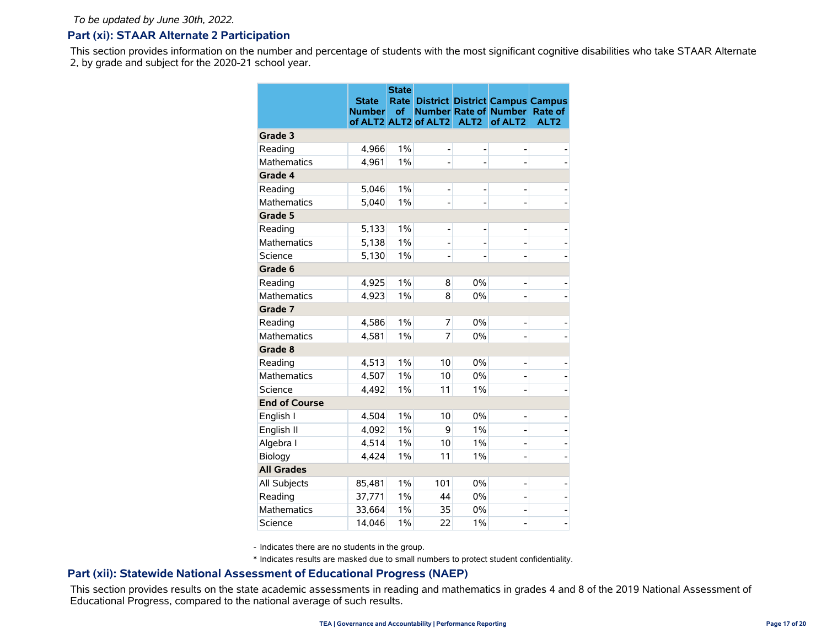#### **Part (xi): STAAR Alternate 2 Participation**

This section provides information on the number and percentage of students with the most significant cognitive disabilities who take STAAR Alternate 2, by grade and subject for the 2020-21 school year.

|                      | <b>State</b><br><b>Number</b> | <b>State</b><br>Rate<br>of | of ALT2 ALT2 of ALT2 | ALT <sub>2</sub> | <b>Number Rate of Number</b><br>of ALT <sub>2</sub> | <b>District District Campus Campus</b><br>Rate of<br>ALT <sub>2</sub> |
|----------------------|-------------------------------|----------------------------|----------------------|------------------|-----------------------------------------------------|-----------------------------------------------------------------------|
| Grade 3              |                               |                            |                      |                  |                                                     |                                                                       |
| Reading              | 4,966                         | 1%                         |                      |                  |                                                     |                                                                       |
| <b>Mathematics</b>   | 4,961                         | $1\%$                      |                      |                  |                                                     |                                                                       |
| Grade 4              |                               |                            |                      |                  |                                                     |                                                                       |
| Reading              | 5,046                         | $1\%$                      |                      |                  |                                                     |                                                                       |
| <b>Mathematics</b>   | 5,040                         | $1\%$                      |                      | ÷                |                                                     |                                                                       |
| Grade 5              |                               |                            |                      |                  |                                                     |                                                                       |
| Reading              | 5,133                         | 1%                         | ۰                    | ۰                | L                                                   |                                                                       |
| <b>Mathematics</b>   | 5,138                         | 1%                         |                      |                  |                                                     |                                                                       |
| Science              | 5,130                         | $1\%$                      |                      |                  |                                                     |                                                                       |
| Grade 6              |                               |                            |                      |                  |                                                     |                                                                       |
| Reading              | 4,925                         | 1%                         | 8                    | 0%               |                                                     |                                                                       |
| <b>Mathematics</b>   | 4,923                         | $1\%$                      | 8                    | 0%               |                                                     |                                                                       |
| Grade 7              |                               |                            |                      |                  |                                                     |                                                                       |
| Reading              | 4,586                         | $1\%$                      | 7                    | 0%               | -                                                   |                                                                       |
| <b>Mathematics</b>   | 4,581                         | $1\%$                      | 7                    | 0%               |                                                     |                                                                       |
| Grade 8              |                               |                            |                      |                  |                                                     |                                                                       |
| Reading              | 4,513                         | $1\%$                      | 10                   | 0%               | -                                                   |                                                                       |
| Mathematics          | 4,507                         | $1\%$                      | 10                   | 0%               |                                                     |                                                                       |
| Science              | 4,492                         | $1\%$                      | 11                   | $1\%$            |                                                     |                                                                       |
| <b>End of Course</b> |                               |                            |                      |                  |                                                     |                                                                       |
| English I            | 4,504                         | $1\%$                      | 10                   | 0%               | L                                                   |                                                                       |
| English II           | 4,092                         | $1\%$                      | 9                    | $1\%$            | -                                                   |                                                                       |
| Algebra I            | 4,514                         | 1%                         | 10                   | $1\%$            | -                                                   |                                                                       |
| Biology              | 4,424                         | $1\%$                      | 11                   | $1\%$            |                                                     |                                                                       |
| <b>All Grades</b>    |                               |                            |                      |                  |                                                     |                                                                       |
| All Subjects         | 85,481                        | $1\%$                      | 101                  | 0%               | -                                                   |                                                                       |
| Reading              | 37,771                        | $1\%$                      | 44                   | 0%               | $\overline{a}$                                      |                                                                       |
| <b>Mathematics</b>   | 33,664                        | $1\%$                      | 35                   | 0%               |                                                     |                                                                       |
| Science              | 14,046                        | $1\%$                      | 22                   | $1\%$            |                                                     |                                                                       |

- Indicates there are no students in the group.

\* Indicates results are masked due to small numbers to protect student confidentiality.

#### **Part (xii): Statewide National Assessment of Educational Progress (NAEP)**

This section provides results on the state academic assessments in reading and mathematics in grades 4 and 8 of the 2019 National Assessment of Educational Progress, compared to the national average of such results.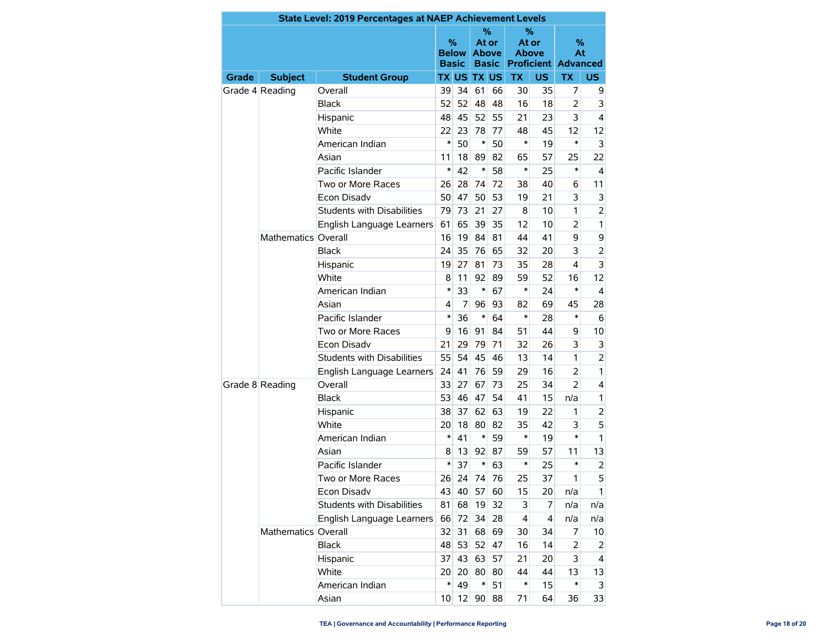|              | State Level: 2019 Percentages at NAEP Achievement Levels<br>℅<br>℅ |                                   |                   |              |                       |              |                       |                |                                       |                |  |  |  |
|--------------|--------------------------------------------------------------------|-----------------------------------|-------------------|--------------|-----------------------|--------------|-----------------------|----------------|---------------------------------------|----------------|--|--|--|
|              |                                                                    |                                   | %<br><b>Basic</b> | <b>Below</b> | At or<br><b>Above</b> | <b>Basic</b> | At or<br><b>Above</b> |                | %<br>At<br><b>Proficient Advanced</b> |                |  |  |  |
| <b>Grade</b> | <b>Subject</b>                                                     | <b>Student Group</b>              |                   |              | <b>TX US TX US</b>    |              | <b>TX</b>             | <b>US</b>      | <b>TX</b>                             | US.            |  |  |  |
|              | Grade 4 Reading                                                    | Overall                           | 39                | 34           | 61                    | 66           | 30                    | 35             | 7                                     | 9              |  |  |  |
|              |                                                                    | <b>Black</b>                      | 52                | 52           | 48                    | 48           | 16                    | 18             | 2                                     | 3              |  |  |  |
|              |                                                                    | Hispanic                          | 48                | 45           | 52                    | 55           | 21                    | 23             | 3                                     | 4              |  |  |  |
|              |                                                                    | White                             | 22                | 23           | 78                    | 77           | 48                    | 45             | 12                                    | 12             |  |  |  |
|              |                                                                    | American Indian                   | $\ast$            | 50           | $\ast$                | 50           | *                     | 19             | *                                     | 3              |  |  |  |
|              |                                                                    | Asian                             | 11                | 18           | 89                    | 82           | 65                    | 57             | 25                                    | 22             |  |  |  |
|              |                                                                    | Pacific Islander                  | $\ast$            | 42           | $\ast$                | 58           | $\ast$                | 25             | *                                     | 4              |  |  |  |
|              |                                                                    | Two or More Races                 | 26                | 28           | 74                    | 72           | 38                    | 40             | 6                                     | 11             |  |  |  |
|              |                                                                    | Econ Disadv                       | 50                | 47           | 50                    | 53           | 19                    | 21             | 3                                     | 3              |  |  |  |
|              |                                                                    | <b>Students with Disabilities</b> | 79                | 73           | 21                    | 27           | 8                     | 10             | 1                                     | $\overline{2}$ |  |  |  |
|              |                                                                    | English Language Learners         | 61                | 65           | 39                    | 35           | 12                    | 10             | $\overline{2}$                        | 1              |  |  |  |
|              | Mathematics Overall                                                |                                   | 16                | 19           | 84                    | 81           | 44                    | 41             | 9                                     | 9              |  |  |  |
|              |                                                                    | <b>Black</b>                      | 24                | 35           | 76                    | 65           | 32                    | 20             | 3                                     | $\overline{2}$ |  |  |  |
|              |                                                                    | Hispanic                          | 19                | 27           | 81                    | 73           | 35                    | 28             | 4                                     | 3              |  |  |  |
|              |                                                                    | <b>White</b>                      | 8                 | 11           | 92                    | 89           | 59                    | 52             | 16                                    | 12             |  |  |  |
|              |                                                                    | American Indian                   | ∗                 | 33           | $\ast$                | 67           | *                     | 24             | *                                     | 4              |  |  |  |
|              |                                                                    | Asian                             | 4                 | 7            | 96                    | 93           | 82                    | 69             | 45                                    | 28             |  |  |  |
|              |                                                                    | Pacific Islander                  | *                 | 36           | $\ast$                | 64           | *                     | 28             | *                                     | 6              |  |  |  |
|              |                                                                    | Two or More Races                 | 9                 | 16           | 91                    | 84           | 51                    | 44             | 9                                     | 10             |  |  |  |
|              |                                                                    | <b>Econ Disadv</b>                | 21                | 29           | 79                    | 71           | 32                    | 26             | 3                                     | 3              |  |  |  |
|              |                                                                    | Students with Disabilities        | 55                | 54           | 45                    | 46           | 13                    | 14             | 1                                     | $\overline{2}$ |  |  |  |
|              |                                                                    | English Language Learners         | 24                | 41           | 76                    | 59           | 29                    | 16             | $\overline{2}$                        | 1              |  |  |  |
|              | Grade 8 Reading                                                    | Overall                           | 33                | 27           | 67                    | 73           | 25                    | 34             | $\overline{2}$                        | 4              |  |  |  |
|              |                                                                    | <b>Black</b>                      | 53                | 46           | 47                    | 54           | 41                    | 15             | n/a                                   | $\mathbf{1}$   |  |  |  |
|              |                                                                    | Hispanic                          | 38                | 37           | 62                    | 63           | 19                    | 22             | 1                                     | 2              |  |  |  |
|              |                                                                    | White                             | 20                | 18           | 80                    | 82           | 35                    | 42             | 3                                     | 5              |  |  |  |
|              |                                                                    | American Indian                   | $\ast$            | 41           | $\ast$                | 59           | *                     | 19             | *                                     | 1              |  |  |  |
|              |                                                                    | Asian                             | 8                 | 13           | 92                    | 87           | 59                    | 57             | 11                                    | 13             |  |  |  |
|              |                                                                    | Pacific Islander                  | *                 | 37           | $\ast$                | 63           | *                     | 25             | *                                     | $\overline{2}$ |  |  |  |
|              |                                                                    | Two or More Races                 | 26                | 24           | 74                    | 76           | 25                    | 37             | 1                                     | 5              |  |  |  |
|              |                                                                    | Econ Disadv                       | 43                | 40           | 57                    | 60           | 15                    | 20             | n/a                                   | 1              |  |  |  |
|              |                                                                    | Students with Disabilities        | 81                | 68           | 19                    | 32           | 3                     | $\overline{7}$ | n/a                                   | n/a            |  |  |  |
|              |                                                                    | English Language Learners         | 66                | 72           | 34                    | 28           | $\overline{4}$        | $\overline{4}$ | n/a                                   | n/a            |  |  |  |
|              | Mathematics Overall                                                |                                   | 32                | 31           |                       | 68 69        | 30                    | 34             | 7                                     | 10             |  |  |  |
|              |                                                                    | <b>Black</b>                      | 48                | 53           | 52                    | 47           | 16                    | 14             | $\overline{2}$                        | 2              |  |  |  |
|              |                                                                    | Hispanic                          | 37                | 43           |                       | 63 57        | 21                    | 20             | 3                                     | 4              |  |  |  |
|              |                                                                    | White                             | 20 <sup>°</sup>   | 20           | 80                    | 80           | 44                    | 44             | 13                                    | 13             |  |  |  |
|              |                                                                    | American Indian                   | ∗                 | 49           | $\ast$                | 51           | $\ast$                | 15             | *                                     | 3              |  |  |  |
|              |                                                                    | Asian                             | 10 <sup>1</sup>   | 12           | 90                    | 88           | 71                    | 64             | 36                                    | 33             |  |  |  |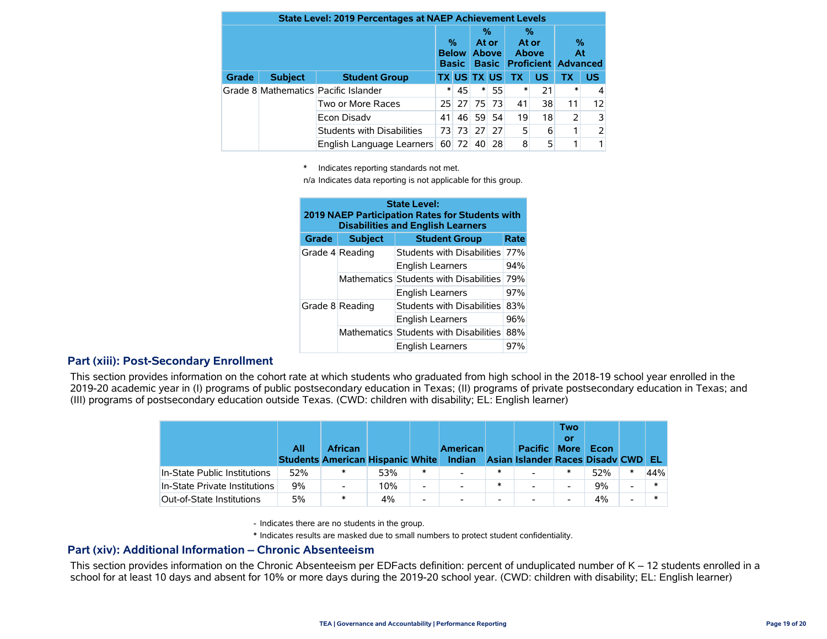| <b>State Level: 2019 Percentages at NAEP Achievement Levels</b> |                |                                      |        |                                   |                    |                                            |           |                            |                |                                       |  |
|-----------------------------------------------------------------|----------------|--------------------------------------|--------|-----------------------------------|--------------------|--------------------------------------------|-----------|----------------------------|----------------|---------------------------------------|--|
|                                                                 |                |                                      |        | %<br><b>Below</b><br><b>Basic</b> |                    | %<br>At or<br><b>Above</b><br><b>Basic</b> |           | %<br>At or<br><b>Above</b> |                | %<br>At<br><b>Proficient Advanced</b> |  |
| Grade                                                           | <b>Subject</b> | <b>Student Group</b>                 |        |                                   | <b>TX US TX US</b> |                                            | <b>TX</b> | <b>US</b>                  | ТX             | <b>US</b>                             |  |
|                                                                 |                | Grade 8 Mathematics Pacific Islander | $\ast$ | 45                                | $\ast$             | 55                                         | *         | 21                         | $\ast$         |                                       |  |
|                                                                 |                | Two or More Races                    |        |                                   | 25 27 75           | 73                                         | 41        | 38                         | 11             | 12                                    |  |
|                                                                 |                | Econ Disady                          | 41     | 46                                | 59                 | 54                                         | 19        | 18                         | $\overline{2}$ | 3                                     |  |
|                                                                 |                | Students with Disabilities           | 73     | -731                              | 27                 | 27                                         | 5         | 6                          |                |                                       |  |
|                                                                 |                | English Language Learners            | 60     | 72                                | 40                 | 28                                         | 8         | 5                          |                |                                       |  |

\* Indicates reporting standards not met.

n/a Indicates data reporting is not applicable for this group.

| <b>State Level:</b><br>2019 NAEP Participation Rates for Students with<br><b>Disabilities and English Learners</b> |                 |                                        |      |  |  |  |  |  |  |
|--------------------------------------------------------------------------------------------------------------------|-----------------|----------------------------------------|------|--|--|--|--|--|--|
| <b>Grade</b>                                                                                                       | <b>Subject</b>  | <b>Student Group</b>                   | Rate |  |  |  |  |  |  |
|                                                                                                                    | Grade 4 Reading | Students with Disabilities             | 77%  |  |  |  |  |  |  |
|                                                                                                                    |                 | <b>English Learners</b>                | 94%  |  |  |  |  |  |  |
|                                                                                                                    |                 | Mathematics Students with Disabilities | 79%  |  |  |  |  |  |  |
|                                                                                                                    |                 | <b>English Learners</b>                | 97%  |  |  |  |  |  |  |
|                                                                                                                    | Grade 8 Reading | Students with Disabilities             | 83%  |  |  |  |  |  |  |
|                                                                                                                    |                 | <b>English Learners</b>                | 96%  |  |  |  |  |  |  |
|                                                                                                                    |                 | Mathematics Students with Disabilities | 88%  |  |  |  |  |  |  |
|                                                                                                                    |                 | <b>English Learners</b>                | 97%  |  |  |  |  |  |  |

#### **Part (xiii): Post-Secondary Enrollment**

This section provides information on the cohort rate at which students who graduated from high school in the 2018-19 school year enrolled in the 2019-20 academic year in (I) programs of public postsecondary education in Texas; (II) programs of private postsecondary education in Texas; and (III) programs of postsecondary education outside Texas. (CWD: children with disability; EL: English learner)

|                               | All | <b>African</b><br><b>Students American Hispanic White</b> |     |        | <b>American</b><br>Indian |                          | <b>Pacific</b><br>Asian Islander Races Disady CWD | <b>Two</b><br>or<br><b>More</b> | <b>Econ</b> |                          | -EL |
|-------------------------------|-----|-----------------------------------------------------------|-----|--------|---------------------------|--------------------------|---------------------------------------------------|---------------------------------|-------------|--------------------------|-----|
| In-State Public Institutions  | 52% | ∗                                                         | 53% | $\ast$ | $\overline{\phantom{0}}$  |                          |                                                   | *                               | 52%         |                          | 44% |
| In-State Private Institutions | 9%  | $\overline{\phantom{a}}$                                  | 10% | Ξ.     | $\blacksquare$            | $\ast$                   | $\overline{\phantom{0}}$                          | $\overline{\phantom{0}}$        | 9%          | $\overline{ }$           |     |
| Out-of-State Institutions     | 5%  | $\ast$                                                    | 4%  | -      | $\overline{\phantom{a}}$  | $\overline{\phantom{0}}$ |                                                   | $\overline{\phantom{0}}$        | 4%          | $\overline{\phantom{0}}$ |     |

- Indicates there are no students in the group.

\* Indicates results are masked due to small numbers to protect student confidentiality.

#### **Part (xiv): Additional Information – Chronic Absenteeism**

This section provides information on the Chronic Absenteeism per EDFacts definition: percent of unduplicated number of K – 12 students enrolled in a school for at least 10 days and absent for 10% or more days during the 2019-20 school year. (CWD: children with disability; EL: English learner)